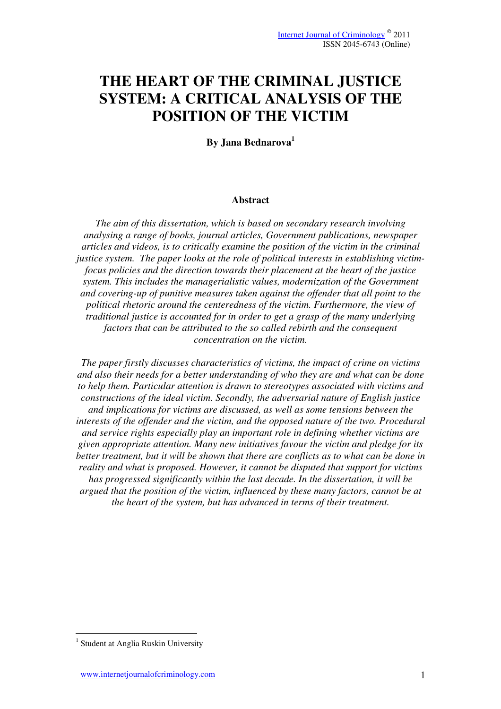# **THE HEART OF THE CRIMINAL JUSTICE SYSTEM: A CRITICAL ANALYSIS OF THE POSITION OF THE VICTIM**

**By Jana Bednarova<sup>1</sup>**

#### **Abstract**

*The aim of this dissertation, which is based on secondary research involving analysing a range of books, journal articles, Government publications, newspaper articles and videos, is to critically examine the position of the victim in the criminal justice system. The paper looks at the role of political interests in establishing victimfocus policies and the direction towards their placement at the heart of the justice system. This includes the managerialistic values, modernization of the Government and covering-up of punitive measures taken against the offender that all point to the political rhetoric around the centeredness of the victim. Furthermore, the view of traditional justice is accounted for in order to get a grasp of the many underlying factors that can be attributed to the so called rebirth and the consequent concentration on the victim.* 

*The paper firstly discusses characteristics of victims, the impact of crime on victims and also their needs for a better understanding of who they are and what can be done to help them. Particular attention is drawn to stereotypes associated with victims and constructions of the ideal victim. Secondly, the adversarial nature of English justice and implications for victims are discussed, as well as some tensions between the interests of the offender and the victim, and the opposed nature of the two. Procedural and service rights especially play an important role in defining whether victims are given appropriate attention. Many new initiatives favour the victim and pledge for its better treatment, but it will be shown that there are conflicts as to what can be done in reality and what is proposed. However, it cannot be disputed that support for victims has progressed significantly within the last decade. In the dissertation, it will be argued that the position of the victim, influenced by these many factors, cannot be at the heart of the system, but has advanced in terms of their treatment.* 

<sup>&</sup>lt;sup>1</sup> Student at Anglia Ruskin University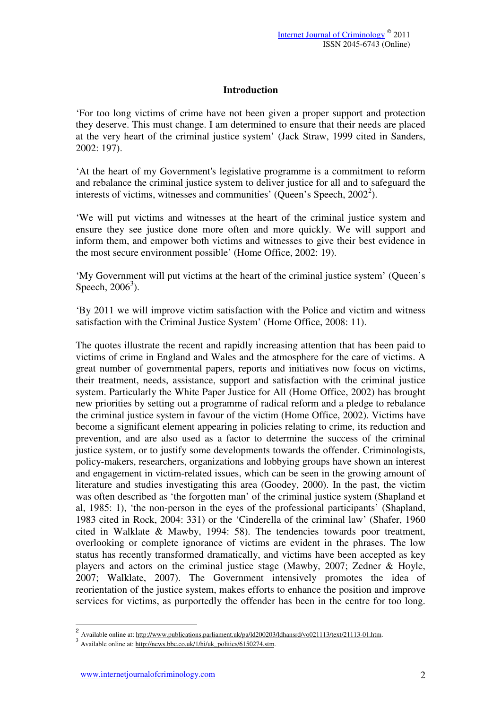## **Introduction**

'For too long victims of crime have not been given a proper support and protection they deserve. This must change. I am determined to ensure that their needs are placed at the very heart of the criminal justice system' (Jack Straw, 1999 cited in Sanders, 2002: 197).

'At the heart of my Government's legislative programme is a commitment to reform and rebalance the criminal justice system to deliver justice for all and to safeguard the interests of victims, witnesses and communities' (Queen's Speech,  $2002^2$ ).

'We will put victims and witnesses at the heart of the criminal justice system and ensure they see justice done more often and more quickly. We will support and inform them, and empower both victims and witnesses to give their best evidence in the most secure environment possible' (Home Office, 2002: 19).

'My Government will put victims at the heart of the criminal justice system' (Queen's Speech,  $2006^3$ ).

'By 2011 we will improve victim satisfaction with the Police and victim and witness satisfaction with the Criminal Justice System' (Home Office, 2008: 11).

The quotes illustrate the recent and rapidly increasing attention that has been paid to victims of crime in England and Wales and the atmosphere for the care of victims. A great number of governmental papers, reports and initiatives now focus on victims, their treatment, needs, assistance, support and satisfaction with the criminal justice system. Particularly the White Paper Justice for All (Home Office, 2002) has brought new priorities by setting out a programme of radical reform and a pledge to rebalance the criminal justice system in favour of the victim (Home Office, 2002). Victims have become a significant element appearing in policies relating to crime, its reduction and prevention, and are also used as a factor to determine the success of the criminal justice system, or to justify some developments towards the offender. Criminologists, policy-makers, researchers, organizations and lobbying groups have shown an interest and engagement in victim-related issues, which can be seen in the growing amount of literature and studies investigating this area (Goodey, 2000). In the past, the victim was often described as 'the forgotten man' of the criminal justice system (Shapland et al, 1985: 1), 'the non-person in the eyes of the professional participants' (Shapland, 1983 cited in Rock, 2004: 331) or the 'Cinderella of the criminal law' (Shafer, 1960 cited in Walklate & Mawby, 1994: 58). The tendencies towards poor treatment, overlooking or complete ignorance of victims are evident in the phrases. The low status has recently transformed dramatically, and victims have been accepted as key players and actors on the criminal justice stage (Mawby, 2007; Zedner & Hoyle, 2007; Walklate, 2007). The Government intensively promotes the idea of reorientation of the justice system, makes efforts to enhance the position and improve services for victims, as purportedly the offender has been in the centre for too long.

<sup>&</sup>lt;sup>2</sup><br>Available online at: http://www.publications.parliament.uk/pa/ld200203/ldhansrd/vo021113/text/21113-01.htm.

<sup>&</sup>lt;sup>3</sup> Available online at: http://news.bbc.co.uk/1/hi/uk\_politics/6150274.stm.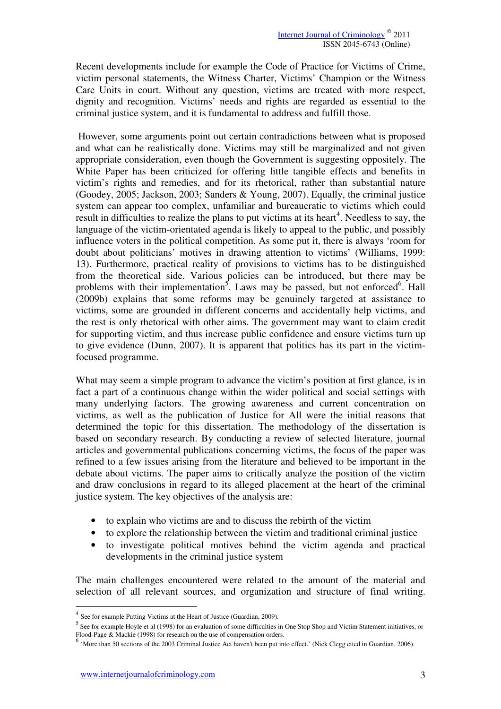Recent developments include for example the Code of Practice for Victims of Crime, victim personal statements, the Witness Charter, Victims' Champion or the Witness Care Units in court. Without any question, victims are treated with more respect, dignity and recognition. Victims' needs and rights are regarded as essential to the criminal justice system, and it is fundamental to address and fulfill those.

 However, some arguments point out certain contradictions between what is proposed and what can be realistically done. Victims may still be marginalized and not given appropriate consideration, even though the Government is suggesting oppositely. The White Paper has been criticized for offering little tangible effects and benefits in victim's rights and remedies, and for its rhetorical, rather than substantial nature (Goodey, 2005; Jackson, 2003; Sanders & Young, 2007). Equally, the criminal justice system can appear too complex, unfamiliar and bureaucratic to victims which could result in difficulties to realize the plans to put victims at its heart<sup>4</sup>. Needless to say, the language of the victim-orientated agenda is likely to appeal to the public, and possibly influence voters in the political competition. As some put it, there is always 'room for doubt about politicians' motives in drawing attention to victims' (Williams, 1999: 13). Furthermore, practical reality of provisions to victims has to be distinguished from the theoretical side. Various policies can be introduced, but there may be problems with their implementation<sup>5</sup>. Laws may be passed, but not enforced<sup>6</sup>. Hall (2009b) explains that some reforms may be genuinely targeted at assistance to victims, some are grounded in different concerns and accidentally help victims, and the rest is only rhetorical with other aims. The government may want to claim credit for supporting victim, and thus increase public confidence and ensure victims turn up to give evidence (Dunn, 2007). It is apparent that politics has its part in the victimfocused programme.

What may seem a simple program to advance the victim's position at first glance, is in fact a part of a continuous change within the wider political and social settings with many underlying factors. The growing awareness and current concentration on victims, as well as the publication of Justice for All were the initial reasons that determined the topic for this dissertation. The methodology of the dissertation is based on secondary research. By conducting a review of selected literature, journal articles and governmental publications concerning victims, the focus of the paper was refined to a few issues arising from the literature and believed to be important in the debate about victims. The paper aims to critically analyze the position of the victim and draw conclusions in regard to its alleged placement at the heart of the criminal justice system. The key objectives of the analysis are:

- to explain who victims are and to discuss the rebirth of the victim
- to explore the relationship between the victim and traditional criminal justice
- to investigate political motives behind the victim agenda and practical developments in the criminal justice system

The main challenges encountered were related to the amount of the material and selection of all relevant sources, and organization and structure of final writing.

<sup>&</sup>lt;sup>4</sup> See for example Putting Victims at the Heart of Justice (Guardian, 2009).

<sup>&</sup>lt;sup>5</sup> See for example Hoyle et al (1998) for an evaluation of some difficulties in One Stop Shop and Victim Statement initiatives, or

Flood-Page & Mackie (1998) for research on the use of compensation orders.<br><sup>6</sup> 'More than 50 sections of the 2003 Criminal Justice Act haven't been put into effect.' (Nick Clegg cited in Guardian, 2006).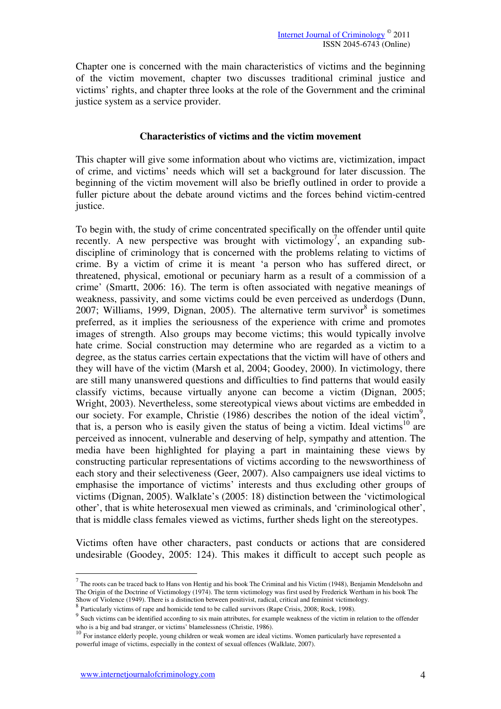Chapter one is concerned with the main characteristics of victims and the beginning of the victim movement, chapter two discusses traditional criminal justice and victims' rights, and chapter three looks at the role of the Government and the criminal justice system as a service provider.

#### **Characteristics of victims and the victim movement**

This chapter will give some information about who victims are, victimization, impact of crime, and victims' needs which will set a background for later discussion. The beginning of the victim movement will also be briefly outlined in order to provide a fuller picture about the debate around victims and the forces behind victim-centred justice.

To begin with, the study of crime concentrated specifically on the offender until quite recently. A new perspective was brought with victimology<sup>7</sup>, an expanding subdiscipline of criminology that is concerned with the problems relating to victims of crime. By a victim of crime it is meant 'a person who has suffered direct, or threatened, physical, emotional or pecuniary harm as a result of a commission of a crime' (Smartt, 2006: 16). The term is often associated with negative meanings of weakness, passivity, and some victims could be even perceived as underdogs (Dunn, 2007; Williams, 1999, Dignan, 2005). The alternative term survivor $8$  is sometimes preferred, as it implies the seriousness of the experience with crime and promotes images of strength. Also groups may become victims; this would typically involve hate crime. Social construction may determine who are regarded as a victim to a degree, as the status carries certain expectations that the victim will have of others and they will have of the victim (Marsh et al, 2004; Goodey, 2000). In victimology, there are still many unanswered questions and difficulties to find patterns that would easily classify victims, because virtually anyone can become a victim (Dignan, 2005; Wright, 2003). Nevertheless, some stereotypical views about victims are embedded in our society. For example, Christie  $(1986)$  describes the notion of the ideal victim<sup>9</sup>, that is, a person who is easily given the status of being a victim. Ideal victims<sup>10</sup> are perceived as innocent, vulnerable and deserving of help, sympathy and attention. The media have been highlighted for playing a part in maintaining these views by constructing particular representations of victims according to the newsworthiness of each story and their selectiveness (Geer, 2007). Also campaigners use ideal victims to emphasise the importance of victims' interests and thus excluding other groups of victims (Dignan, 2005). Walklate's (2005: 18) distinction between the 'victimological other', that is white heterosexual men viewed as criminals, and 'criminological other', that is middle class females viewed as victims, further sheds light on the stereotypes.

Victims often have other characters, past conducts or actions that are considered undesirable (Goodey, 2005: 124). This makes it difficult to accept such people as

 $^7$  The roots can be traced back to Hans von Hentig and his book The Criminal and his Victim (1948), Benjamin Mendelsohn and The Origin of the Doctrine of Victimology (1974). The term victimology was first used by Frederick Wertham in his book The Show of Violence (1949). There is a distinction between positivist, radical, critical and feminist victimology.<br><sup>8</sup> Particularly victims of rape and homicide tend to be called survivors (Rape Crisis, 2008; Rock, 1998).

 $9$  Such victims can be identified according to six main attributes, for example weakness of the victim in relation to the offender who is a big and bad stranger, or victims' blamelessness (Christie, 1986).

<sup>&</sup>lt;sup>10</sup> For instance elderly people, young children or weak women are ideal victims. Women particularly have represented a powerful image of victims, especially in the context of sexual offences (Walklate, 2007).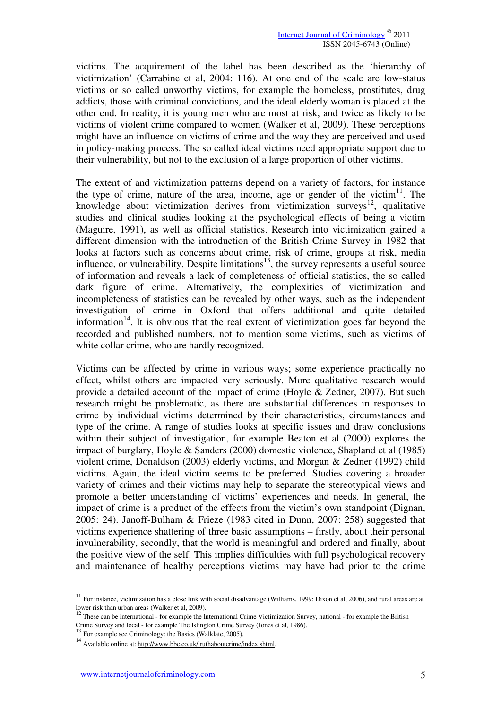victims. The acquirement of the label has been described as the 'hierarchy of victimization' (Carrabine et al, 2004: 116). At one end of the scale are low-status victims or so called unworthy victims, for example the homeless, prostitutes, drug addicts, those with criminal convictions, and the ideal elderly woman is placed at the other end. In reality, it is young men who are most at risk, and twice as likely to be victims of violent crime compared to women (Walker et al, 2009). These perceptions might have an influence on victims of crime and the way they are perceived and used in policy-making process. The so called ideal victims need appropriate support due to their vulnerability, but not to the exclusion of a large proportion of other victims.

The extent of and victimization patterns depend on a variety of factors, for instance the type of crime, nature of the area, income, age or gender of the victim<sup>11</sup>. The knowledge about victimization derives from victimization surveys<sup>12</sup>, qualitative studies and clinical studies looking at the psychological effects of being a victim (Maguire, 1991), as well as official statistics. Research into victimization gained a different dimension with the introduction of the British Crime Survey in 1982 that looks at factors such as concerns about crime, risk of crime, groups at risk, media influence, or vulnerability. Despite limitations<sup>13</sup>, the survey represents a useful source of information and reveals a lack of completeness of official statistics, the so called dark figure of crime. Alternatively, the complexities of victimization and incompleteness of statistics can be revealed by other ways, such as the independent investigation of crime in Oxford that offers additional and quite detailed information<sup>14</sup>. It is obvious that the real extent of victimization goes far beyond the recorded and published numbers, not to mention some victims, such as victims of white collar crime, who are hardly recognized.

Victims can be affected by crime in various ways; some experience practically no effect, whilst others are impacted very seriously. More qualitative research would provide a detailed account of the impact of crime (Hoyle & Zedner, 2007). But such research might be problematic, as there are substantial differences in responses to crime by individual victims determined by their characteristics, circumstances and type of the crime. A range of studies looks at specific issues and draw conclusions within their subject of investigation, for example Beaton et al (2000) explores the impact of burglary, Hoyle & Sanders (2000) domestic violence, Shapland et al (1985) violent crime, Donaldson (2003) elderly victims, and Morgan & Zedner (1992) child victims. Again, the ideal victim seems to be preferred. Studies covering a broader variety of crimes and their victims may help to separate the stereotypical views and promote a better understanding of victims' experiences and needs. In general, the impact of crime is a product of the effects from the victim's own standpoint (Dignan, 2005: 24). Janoff-Bulham & Frieze (1983 cited in Dunn, 2007: 258) suggested that victims experience shattering of three basic assumptions – firstly, about their personal invulnerability, secondly, that the world is meaningful and ordered and finally, about the positive view of the self. This implies difficulties with full psychological recovery and maintenance of healthy perceptions victims may have had prior to the crime

 $11$  For instance, victimization has a close link with social disadvantage (Williams, 1999; Dixon et al, 2006), and rural areas are at lower risk than urban areas (Walker et al, 2009).

 $12$  These can be international - for example the International Crime Victimization Survey, national - for example the British Crime Survey and local - for example The Islington Crime Survey (Jones et al, 1986).

For example see Criminology: the Basics (Walklate, 2005).

<sup>14</sup> Available online at: http://www.bbc.co.uk/truthaboutcrime/index.shtml.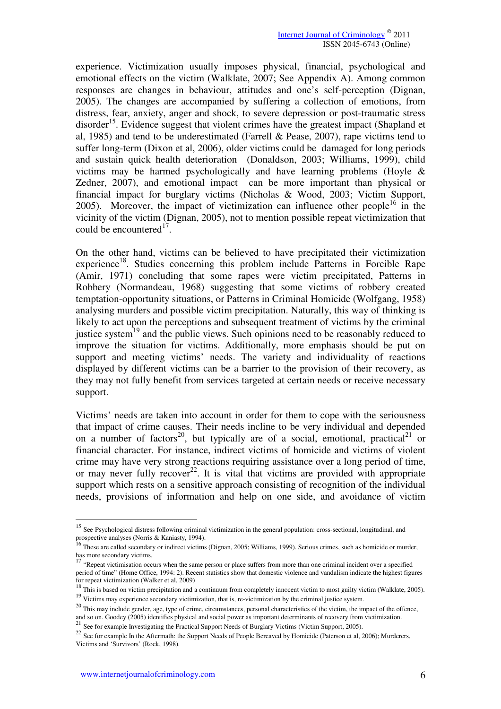experience. Victimization usually imposes physical, financial, psychological and emotional effects on the victim (Walklate, 2007; See Appendix A). Among common responses are changes in behaviour, attitudes and one's self-perception (Dignan, 2005). The changes are accompanied by suffering a collection of emotions, from distress, fear, anxiety, anger and shock, to severe depression or post-traumatic stress  $disorder<sup>15</sup>$ . Evidence suggest that violent crimes have the greatest impact (Shapland et al, 1985) and tend to be underestimated (Farrell & Pease, 2007), rape victims tend to suffer long-term (Dixon et al, 2006), older victims could be damaged for long periods and sustain quick health deterioration (Donaldson, 2003; Williams, 1999), child victims may be harmed psychologically and have learning problems (Hoyle & Zedner, 2007), and emotional impact can be more important than physical or financial impact for burglary victims (Nicholas & Wood, 2003; Victim Support, 2005). Moreover, the impact of victimization can influence other people<sup>16</sup> in the vicinity of the victim (Dignan, 2005), not to mention possible repeat victimization that could be encountered<sup>17</sup>.

On the other hand, victims can be believed to have precipitated their victimization  $experience<sup>18</sup>$ . Studies concerning this problem include Patterns in Forcible Rape (Amir, 1971) concluding that some rapes were victim precipitated, Patterns in Robbery (Normandeau, 1968) suggesting that some victims of robbery created temptation-opportunity situations, or Patterns in Criminal Homicide (Wolfgang, 1958) analysing murders and possible victim precipitation. Naturally, this way of thinking is likely to act upon the perceptions and subsequent treatment of victims by the criminal justice system<sup>19</sup> and the public views. Such opinions need to be reasonably reduced to improve the situation for victims. Additionally, more emphasis should be put on support and meeting victims' needs. The variety and individuality of reactions displayed by different victims can be a barrier to the provision of their recovery, as they may not fully benefit from services targeted at certain needs or receive necessary support.

Victims' needs are taken into account in order for them to cope with the seriousness that impact of crime causes. Their needs incline to be very individual and depended on a number of factors<sup>20</sup>, but typically are of a social, emotional, practical<sup>21</sup> or financial character. For instance, indirect victims of homicide and victims of violent crime may have very strong reactions requiring assistance over a long period of time, or may never fully  $recover^{22}$ . It is vital that victims are provided with appropriate support which rests on a sensitive approach consisting of recognition of the individual needs, provisions of information and help on one side, and avoidance of victim

21 See for example Investigating the Practical Support Needs of Burglary Victims (Victim Support, 2005).

<sup>&</sup>lt;sup>15</sup> See Psychological distress following criminal victimization in the general population: cross-sectional, longitudinal, and

prospective analyses (Norris & Kaniasty, 1994).<br><sup>16</sup> These are called secondary or indirect victims (Dignan, 2005; Williams, 1999). Serious crimes, such as homicide or murder, has more secondary victims.

<sup>&</sup>lt;sup>17</sup> "Repeat victimisation occurs when the same person or place suffers from more than one criminal incident over a specified period of time" (Home Office, 1994: 2). Recent statistics show that domestic violence and vandalism indicate the highest figures

for repeat victimization (Walker et al, 2009)<br><sup>18</sup> This is based on victim precipitation and a continuum from completely innocent victim to most guilty victim (Walklate, 2005). <sup>19</sup> Victims may experience secondary victimization, that is, re-victimization by the criminal justice system.

<sup>&</sup>lt;sup>20</sup> This may include gender, age, type of crime, circumstances, personal characteristics of the victim, the impact of the offence, and so on. Goodey (2005) identifies physical and social power as important determinants of recovery from victimization.

<sup>&</sup>lt;sup>22</sup> See for example In the Aftermath: the Support Needs of People Bereaved by Homicide (Paterson et al, 2006); Murderers, Victims and 'Survivors' (Rock, 1998).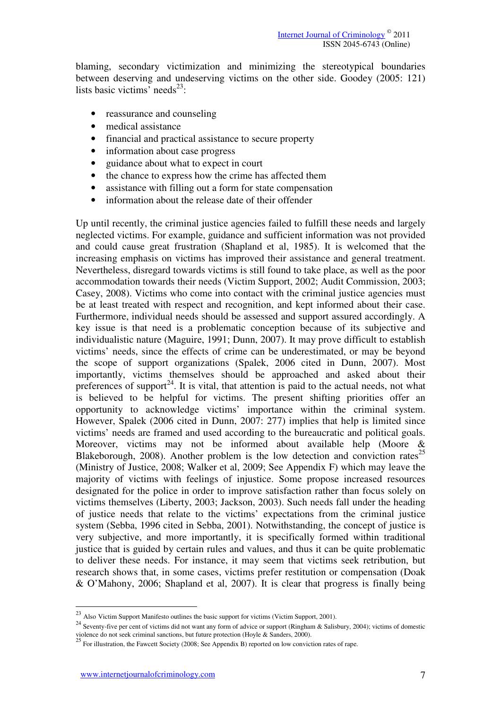blaming, secondary victimization and minimizing the stereotypical boundaries between deserving and undeserving victims on the other side. Goodey (2005: 121) lists basic victims' needs<sup>23</sup>:

- reassurance and counseling
- medical assistance
- financial and practical assistance to secure property
- information about case progress
- guidance about what to expect in court
- the chance to express how the crime has affected them
- assistance with filling out a form for state compensation
- information about the release date of their offender

Up until recently, the criminal justice agencies failed to fulfill these needs and largely neglected victims. For example, guidance and sufficient information was not provided and could cause great frustration (Shapland et al, 1985). It is welcomed that the increasing emphasis on victims has improved their assistance and general treatment. Nevertheless, disregard towards victims is still found to take place, as well as the poor accommodation towards their needs (Victim Support, 2002; Audit Commission, 2003; Casey, 2008). Victims who come into contact with the criminal justice agencies must be at least treated with respect and recognition, and kept informed about their case. Furthermore, individual needs should be assessed and support assured accordingly. A key issue is that need is a problematic conception because of its subjective and individualistic nature (Maguire, 1991; Dunn, 2007). It may prove difficult to establish victims' needs, since the effects of crime can be underestimated, or may be beyond the scope of support organizations (Spalek, 2006 cited in Dunn, 2007). Most importantly, victims themselves should be approached and asked about their preferences of support<sup>24</sup>. It is vital, that attention is paid to the actual needs, not what is believed to be helpful for victims. The present shifting priorities offer an opportunity to acknowledge victims' importance within the criminal system. However, Spalek (2006 cited in Dunn, 2007: 277) implies that help is limited since victims' needs are framed and used according to the bureaucratic and political goals. Moreover, victims may not be informed about available help (Moore & Blakeborough, 2008). Another problem is the low detection and conviction rates<sup>25</sup> (Ministry of Justice, 2008; Walker et al, 2009; See Appendix F) which may leave the majority of victims with feelings of injustice. Some propose increased resources designated for the police in order to improve satisfaction rather than focus solely on victims themselves (Liberty, 2003; Jackson, 2003). Such needs fall under the heading of justice needs that relate to the victims' expectations from the criminal justice system (Sebba, 1996 cited in Sebba, 2001). Notwithstanding, the concept of justice is very subjective, and more importantly, it is specifically formed within traditional justice that is guided by certain rules and values, and thus it can be quite problematic to deliver these needs. For instance, it may seem that victims seek retribution, but research shows that, in some cases, victims prefer restitution or compensation (Doak & O'Mahony, 2006; Shapland et al, 2007). It is clear that progress is finally being

<sup>&</sup>lt;sup>23</sup> Also Victim Support Manifesto outlines the basic support for victims (Victim Support, 2001).

<sup>&</sup>lt;sup>24</sup> Seventy-five per cent of victims did not want any form of advice or support (Ringham & Salisbury, 2004); victims of domestic violence do not seek criminal sanctions, but future protection (Hoyle & Sanders, 2000).<br><sup>25</sup> For illustration, the Fawcett Society (2008; See Appendix B) reported on low conviction rates of rape.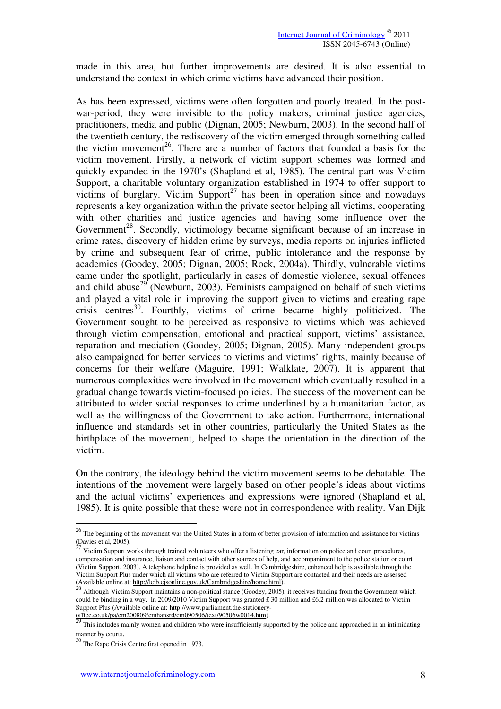made in this area, but further improvements are desired. It is also essential to understand the context in which crime victims have advanced their position.

As has been expressed, victims were often forgotten and poorly treated. In the postwar-period, they were invisible to the policy makers, criminal justice agencies, practitioners, media and public (Dignan, 2005; Newburn, 2003). In the second half of the twentieth century, the rediscovery of the victim emerged through something called the victim movement<sup>26</sup>. There are a number of factors that founded a basis for the victim movement. Firstly, a network of victim support schemes was formed and quickly expanded in the 1970's (Shapland et al, 1985). The central part was Victim Support, a charitable voluntary organization established in 1974 to offer support to victims of burglary. Victim  $\text{Support}^{27}$  has been in operation since and nowadays represents a key organization within the private sector helping all victims, cooperating with other charities and justice agencies and having some influence over the Government<sup>28</sup>. Secondly, victimology became significant because of an increase in crime rates, discovery of hidden crime by surveys, media reports on injuries inflicted by crime and subsequent fear of crime, public intolerance and the response by academics (Goodey, 2005; Dignan, 2005; Rock, 2004a). Thirdly, vulnerable victims came under the spotlight, particularly in cases of domestic violence, sexual offences and child abuse<sup>29</sup> (Newburn, 2003). Feminists campaigned on behalf of such victims and played a vital role in improving the support given to victims and creating rape crisis centres<sup>30</sup>. Fourthly, victims of crime became highly politicized. The Government sought to be perceived as responsive to victims which was achieved through victim compensation, emotional and practical support, victims' assistance, reparation and mediation (Goodey, 2005; Dignan, 2005). Many independent groups also campaigned for better services to victims and victims' rights, mainly because of concerns for their welfare (Maguire, 1991; Walklate, 2007). It is apparent that numerous complexities were involved in the movement which eventually resulted in a gradual change towards victim-focused policies. The success of the movement can be attributed to wider social responses to crime underlined by a humanitarian factor, as well as the willingness of the Government to take action. Furthermore, international influence and standards set in other countries, particularly the United States as the birthplace of the movement, helped to shape the orientation in the direction of the victim.

On the contrary, the ideology behind the victim movement seems to be debatable. The intentions of the movement were largely based on other people's ideas about victims and the actual victims' experiences and expressions were ignored (Shapland et al, 1985). It is quite possible that these were not in correspondence with reality. Van Dijk

 $26$  The beginning of the movement was the United States in a form of better provision of information and assistance for victims (Davies et al, 2005).

<sup>27</sup> Victim Support works through trained volunteers who offer a listening ear, information on police and court procedures, compensation and insurance, liaison and contact with other sources of help, and accompaniment to the police station or court (Victim Support, 2003). A telephone helpline is provided as well. In Cambridgeshire, enhanced help is available through the Victim Support Plus under which all victims who are referred to Victim Support are contacted and their needs are assessed

<sup>(</sup>Available online at: <u>http://lcjb.cjsonline.gov.uk/Cambridgeshire/home.html</u>).<br><sup>28</sup> Although Victim Support maintains a non-political stance (Goodey, 2005), it receives funding from the Government which could be binding in a way. In 2009/2010 Victim Support was granted  $\pounds$  30 million and £6.2 million was allocated to Victim Support Plus (Available online at: http://www.parliament.the-stationery-

office.co.uk/pa/cm200809/cmhansrd/cm090506/text/90506w0014.htm).<br><sup>29</sup> This includes mainly women and children who were insufficiently supported by the police and approached in an intimidating manner by courts.

<sup>30</sup> The Rape Crisis Centre first opened in 1973.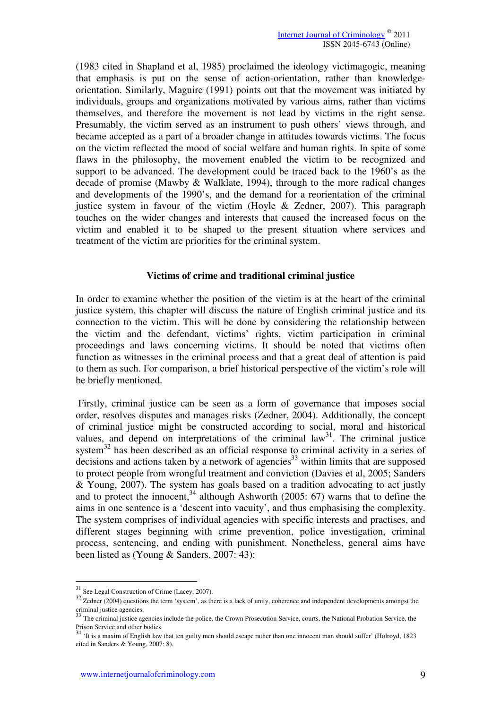(1983 cited in Shapland et al, 1985) proclaimed the ideology victimagogic, meaning that emphasis is put on the sense of action-orientation, rather than knowledgeorientation. Similarly, Maguire (1991) points out that the movement was initiated by individuals, groups and organizations motivated by various aims, rather than victims themselves, and therefore the movement is not lead by victims in the right sense. Presumably, the victim served as an instrument to push others' views through, and became accepted as a part of a broader change in attitudes towards victims. The focus on the victim reflected the mood of social welfare and human rights. In spite of some flaws in the philosophy, the movement enabled the victim to be recognized and support to be advanced. The development could be traced back to the 1960's as the decade of promise (Mawby & Walklate, 1994), through to the more radical changes and developments of the 1990's, and the demand for a reorientation of the criminal justice system in favour of the victim (Hoyle & Zedner, 2007). This paragraph touches on the wider changes and interests that caused the increased focus on the victim and enabled it to be shaped to the present situation where services and treatment of the victim are priorities for the criminal system.

## **Victims of crime and traditional criminal justice**

In order to examine whether the position of the victim is at the heart of the criminal justice system, this chapter will discuss the nature of English criminal justice and its connection to the victim. This will be done by considering the relationship between the victim and the defendant, victims' rights, victim participation in criminal proceedings and laws concerning victims. It should be noted that victims often function as witnesses in the criminal process and that a great deal of attention is paid to them as such. For comparison, a brief historical perspective of the victim's role will be briefly mentioned.

 Firstly, criminal justice can be seen as a form of governance that imposes social order, resolves disputes and manages risks (Zedner, 2004). Additionally, the concept of criminal justice might be constructed according to social, moral and historical values, and depend on interpretations of the criminal law<sup>31</sup>. The criminal justice system<sup>32</sup> has been described as an official response to criminal activity in a series of decisions and actions taken by a network of agencies<sup>33</sup> within limits that are supposed to protect people from wrongful treatment and conviction (Davies et al, 2005; Sanders & Young, 2007). The system has goals based on a tradition advocating to act justly and to protect the innocent,  $34$  although Ashworth (2005: 67) warns that to define the aims in one sentence is a 'descent into vacuity', and thus emphasising the complexity. The system comprises of individual agencies with specific interests and practises, and different stages beginning with crime prevention, police investigation, criminal process, sentencing, and ending with punishment. Nonetheless, general aims have been listed as (Young & Sanders, 2007: 43):

 $31$  See Legal Construction of Crime (Lacey, 2007).

 $32$  Zedner (2004) questions the term 'system', as there is a lack of unity, coherence and independent developments amongst the criminal justice agencies.

<sup>&</sup>lt;sup>33</sup> The criminal justice agencies include the police, the Crown Prosecution Service, courts, the National Probation Service, the

Prison Service and other bodies.<br><sup>34</sup> 'It is a maxim of English law that ten guilty men should escape rather than one innocent man should suffer' (Holroyd, 1823 cited in Sanders & Young, 2007: 8).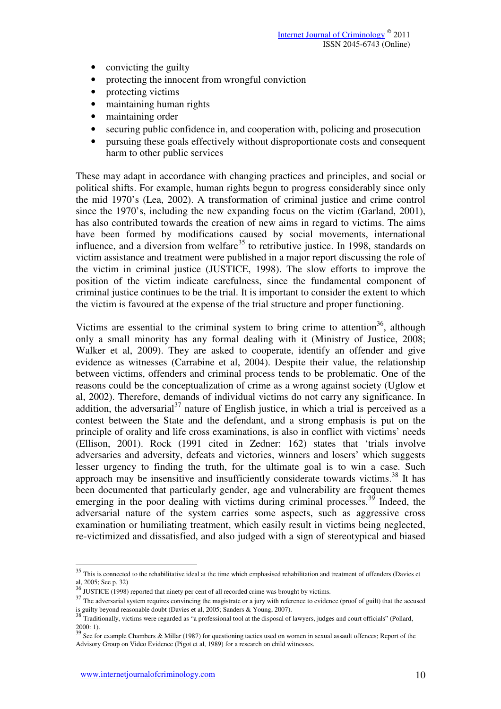- convicting the guilty
- protecting the innocent from wrongful conviction
- protecting victims
- maintaining human rights
- maintaining order
- securing public confidence in, and cooperation with, policing and prosecution
- pursuing these goals effectively without disproportionate costs and consequent harm to other public services

These may adapt in accordance with changing practices and principles, and social or political shifts. For example, human rights begun to progress considerably since only the mid 1970's (Lea, 2002). A transformation of criminal justice and crime control since the 1970's, including the new expanding focus on the victim (Garland, 2001), has also contributed towards the creation of new aims in regard to victims. The aims have been formed by modifications caused by social movements, international influence, and a diversion from welfare<sup>35</sup> to retributive justice. In 1998, standards on victim assistance and treatment were published in a major report discussing the role of the victim in criminal justice (JUSTICE, 1998). The slow efforts to improve the position of the victim indicate carefulness, since the fundamental component of criminal justice continues to be the trial. It is important to consider the extent to which the victim is favoured at the expense of the trial structure and proper functioning.

Victims are essential to the criminal system to bring crime to attention<sup>36</sup>, although only a small minority has any formal dealing with it (Ministry of Justice, 2008; Walker et al, 2009). They are asked to cooperate, identify an offender and give evidence as witnesses (Carrabine et al, 2004). Despite their value, the relationship between victims, offenders and criminal process tends to be problematic. One of the reasons could be the conceptualization of crime as a wrong against society (Uglow et al, 2002). Therefore, demands of individual victims do not carry any significance. In addition, the adversarial<sup>37</sup> nature of English justice, in which a trial is perceived as a contest between the State and the defendant, and a strong emphasis is put on the principle of orality and life cross examinations, is also in conflict with victims' needs (Ellison, 2001). Rock (1991 cited in Zedner: 162) states that 'trials involve adversaries and adversity, defeats and victories, winners and losers' which suggests lesser urgency to finding the truth, for the ultimate goal is to win a case. Such approach may be insensitive and insufficiently considerate towards victims.<sup>38</sup> It has been documented that particularly gender, age and vulnerability are frequent themes emerging in the poor dealing with victims during criminal processes.<sup>39</sup> Indeed, the adversarial nature of the system carries some aspects, such as aggressive cross examination or humiliating treatment, which easily result in victims being neglected, re-victimized and dissatisfied, and also judged with a sign of stereotypical and biased

 $35$  This is connected to the rehabilitative ideal at the time which emphasised rehabilitation and treatment of offenders (Davies et al, 2005; See p. 32)<br><sup>36</sup> JUSTICE (1998) reported that ninety per cent of all recorded crime was brought by victims.

<sup>&</sup>lt;sup>37</sup> The adversarial system requires convincing the magistrate or a jury with reference to evidence (proof of guilt) that the accused

is guilty beyond reasonable doubt (Davies et al, 2005; Sanders & Young, 2007).<br><sup>38</sup> Traditionally, victims were regarded as "a professional tool at the disposal of lawyers, judges and court officials" (Pollard, 2000: 1).<br><sup>39</sup> See for example Chambers & Millar (1987) for questioning tactics used on women in sexual assault offences; Report of the

Advisory Group on Video Evidence (Pigot et al, 1989) for a research on child witnesses.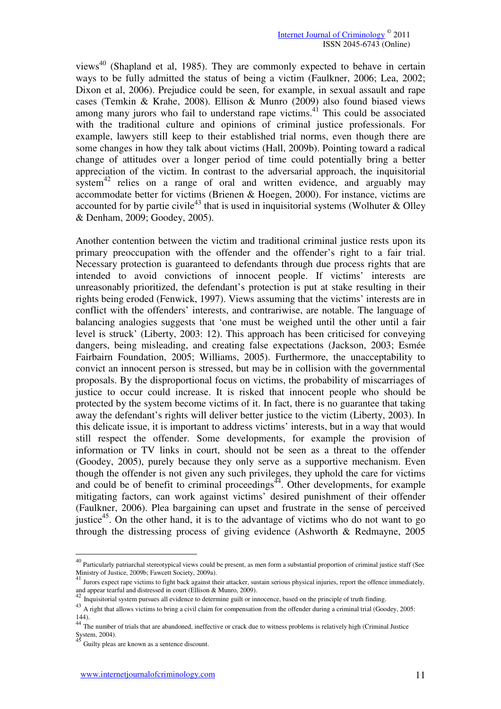views $^{40}$  (Shapland et al, 1985). They are commonly expected to behave in certain ways to be fully admitted the status of being a victim (Faulkner, 2006; Lea, 2002; Dixon et al, 2006). Prejudice could be seen, for example, in sexual assault and rape cases (Temkin & Krahe, 2008). Ellison & Munro (2009) also found biased views among many jurors who fail to understand rape victims.<sup>41</sup> This could be associated with the traditional culture and opinions of criminal justice professionals. For example, lawyers still keep to their established trial norms, even though there are some changes in how they talk about victims (Hall, 2009b). Pointing toward a radical change of attitudes over a longer period of time could potentially bring a better appreciation of the victim. In contrast to the adversarial approach, the inquisitorial system<sup>42</sup> relies on a range of oral and written evidence, and arguably may accommodate better for victims (Brienen & Hoegen, 2000). For instance, victims are accounted for by partie civile<sup>43</sup> that is used in inquisitorial systems (Wolhuter & Olley & Denham, 2009; Goodey, 2005).

Another contention between the victim and traditional criminal justice rests upon its primary preoccupation with the offender and the offender's right to a fair trial. Necessary protection is guaranteed to defendants through due process rights that are intended to avoid convictions of innocent people. If victims' interests are unreasonably prioritized, the defendant's protection is put at stake resulting in their rights being eroded (Fenwick, 1997). Views assuming that the victims' interests are in conflict with the offenders' interests, and contrariwise, are notable. The language of balancing analogies suggests that 'one must be weighed until the other until a fair level is struck' (Liberty, 2003: 12). This approach has been criticised for conveying dangers, being misleading, and creating false expectations (Jackson, 2003; Esmée Fairbairn Foundation, 2005; Williams, 2005). Furthermore, the unacceptability to convict an innocent person is stressed, but may be in collision with the governmental proposals. By the disproportional focus on victims, the probability of miscarriages of justice to occur could increase. It is risked that innocent people who should be protected by the system become victims of it. In fact, there is no guarantee that taking away the defendant's rights will deliver better justice to the victim (Liberty, 2003). In this delicate issue, it is important to address victims' interests, but in a way that would still respect the offender. Some developments, for example the provision of information or TV links in court, should not be seen as a threat to the offender (Goodey, 2005), purely because they only serve as a supportive mechanism. Even though the offender is not given any such privileges, they uphold the care for victims and could be of benefit to criminal proceedings $44$ . Other developments, for example mitigating factors, can work against victims' desired punishment of their offender (Faulkner, 2006). Plea bargaining can upset and frustrate in the sense of perceived justice $45$ . On the other hand, it is to the advantage of victims who do not want to go through the distressing process of giving evidence (Ashworth & Redmayne, 2005

 $40$  Particularly patriarchal stereotypical views could be present, as men form a substantial proportion of criminal justice staff (See

Ministry of Justice, 2009b; Fawcett Society, 2009a).<br><sup>41</sup> Jurors expect rape victims to fight back against their attacker, sustain serious physical injuries, report the offence immediately, and appear tearful and distressed in court (Ellison & Munro, 2009).

<sup>&</sup>lt;sup>42</sup> Inquisitorial system pursues all evidence to determine guilt or innocence, based on the principle of truth finding.

<sup>&</sup>lt;sup>43</sup> A right that allows victims to bring a civil claim for compensation from the offender during a criminal trial (Goodey, 2005:  $144$ 

<sup>&</sup>lt;sup>44</sup> The number of trials that are abandoned, ineffective or crack due to witness problems is relatively high (Criminal Justice System, 2004).

Guilty pleas are known as a sentence discount.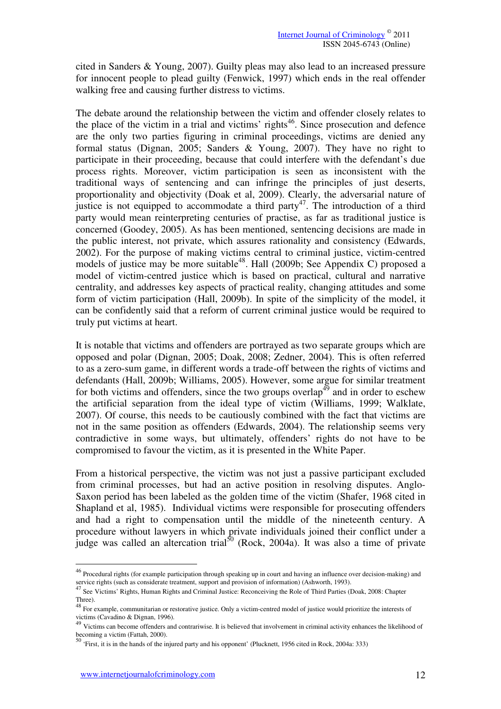cited in Sanders & Young, 2007). Guilty pleas may also lead to an increased pressure for innocent people to plead guilty (Fenwick, 1997) which ends in the real offender walking free and causing further distress to victims.

The debate around the relationship between the victim and offender closely relates to the place of the victim in a trial and victims' rights<sup>46</sup>. Since prosecution and defence are the only two parties figuring in criminal proceedings, victims are denied any formal status (Dignan, 2005; Sanders & Young, 2007). They have no right to participate in their proceeding, because that could interfere with the defendant's due process rights. Moreover, victim participation is seen as inconsistent with the traditional ways of sentencing and can infringe the principles of just deserts, proportionality and objectivity (Doak et al, 2009). Clearly, the adversarial nature of justice is not equipped to accommodate a third party<sup>47</sup>. The introduction of a third party would mean reinterpreting centuries of practise, as far as traditional justice is concerned (Goodey, 2005). As has been mentioned, sentencing decisions are made in the public interest, not private, which assures rationality and consistency (Edwards, 2002). For the purpose of making victims central to criminal justice, victim-centred models of justice may be more suitable<sup>48</sup>. Hall (2009b; See Appendix C) proposed a model of victim-centred justice which is based on practical, cultural and narrative centrality, and addresses key aspects of practical reality, changing attitudes and some form of victim participation (Hall, 2009b). In spite of the simplicity of the model, it can be confidently said that a reform of current criminal justice would be required to truly put victims at heart.

It is notable that victims and offenders are portrayed as two separate groups which are opposed and polar (Dignan, 2005; Doak, 2008; Zedner, 2004). This is often referred to as a zero-sum game, in different words a trade-off between the rights of victims and defendants (Hall, 2009b; Williams, 2005). However, some argue for similar treatment for both victims and offenders, since the two groups overlap<sup>49</sup> and in order to eschew the artificial separation from the ideal type of victim (Williams, 1999; Walklate, 2007). Of course, this needs to be cautiously combined with the fact that victims are not in the same position as offenders (Edwards, 2004). The relationship seems very contradictive in some ways, but ultimately, offenders' rights do not have to be compromised to favour the victim, as it is presented in the White Paper.

From a historical perspective, the victim was not just a passive participant excluded from criminal processes, but had an active position in resolving disputes. Anglo-Saxon period has been labeled as the golden time of the victim (Shafer, 1968 cited in Shapland et al, 1985). Individual victims were responsible for prosecuting offenders and had a right to compensation until the middle of the nineteenth century. A procedure without lawyers in which private individuals joined their conflict under a judge was called an altercation trial<sup>50</sup> (Rock, 2004a). It was also a time of private

<sup>&</sup>lt;sup>46</sup> Procedural rights (for example participation through speaking up in court and having an influence over decision-making) and

service rights (such as considerate treatment, support and provision of information) (Ashworth, 1993).<br><sup>47</sup> See Victims' Rights, Human Rights and Criminal Justice: Reconceiving the Role of Third Parties (Doak, 2008: Chapte

Three).<br><sup>48</sup> For example, communitarian or restorative justice. Only a victim-centred model of justice would prioritize the interests of victims (Cavadino & Dignan, 1996).

<sup>&</sup>lt;sup>49</sup> Victims can become offenders and contrariwise. It is believed that involvement in criminal activity enhances the likelihood of becoming a victim (Fattah, 2000).<br>50  $\ldots$ 

<sup>50</sup> 'First, it is in the hands of the injured party and his opponent' (Plucknett, 1956 cited in Rock, 2004a: 333)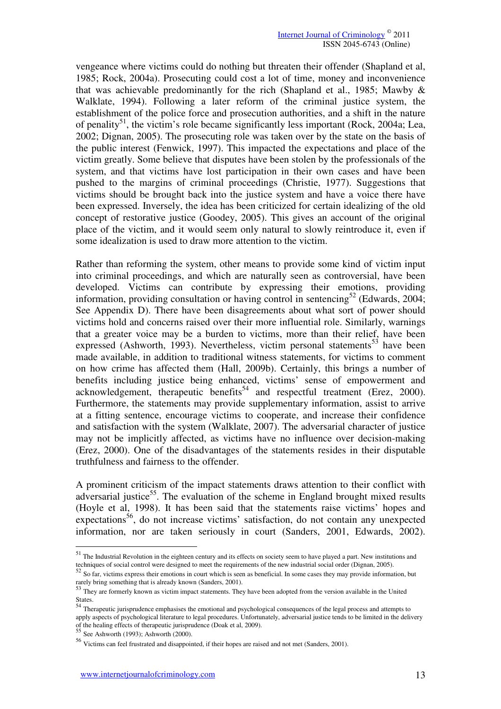vengeance where victims could do nothing but threaten their offender (Shapland et al, 1985; Rock, 2004a). Prosecuting could cost a lot of time, money and inconvenience that was achievable predominantly for the rich (Shapland et al., 1985; Mawby & Walklate, 1994). Following a later reform of the criminal justice system, the establishment of the police force and prosecution authorities, and a shift in the nature of penality<sup>51</sup>, the victim's role became significantly less important (Rock, 2004a; Lea, 2002; Dignan, 2005). The prosecuting role was taken over by the state on the basis of the public interest (Fenwick, 1997). This impacted the expectations and place of the victim greatly. Some believe that disputes have been stolen by the professionals of the system, and that victims have lost participation in their own cases and have been pushed to the margins of criminal proceedings (Christie, 1977). Suggestions that victims should be brought back into the justice system and have a voice there have been expressed. Inversely, the idea has been criticized for certain idealizing of the old concept of restorative justice (Goodey, 2005). This gives an account of the original place of the victim, and it would seem only natural to slowly reintroduce it, even if some idealization is used to draw more attention to the victim.

Rather than reforming the system, other means to provide some kind of victim input into criminal proceedings, and which are naturally seen as controversial, have been developed. Victims can contribute by expressing their emotions, providing information, providing consultation or having control in sentencing<sup>52</sup> (Edwards, 2004; See Appendix D). There have been disagreements about what sort of power should victims hold and concerns raised over their more influential role. Similarly, warnings that a greater voice may be a burden to victims, more than their relief, have been expressed (Ashworth, 1993). Nevertheless, victim personal statements<sup>53</sup> have been made available, in addition to traditional witness statements, for victims to comment on how crime has affected them (Hall, 2009b). Certainly, this brings a number of benefits including justice being enhanced, victims' sense of empowerment and acknowledgement, therapeutic benefits<sup>54</sup> and respectful treatment (Erez, 2000). Furthermore, the statements may provide supplementary information, assist to arrive at a fitting sentence, encourage victims to cooperate, and increase their confidence and satisfaction with the system (Walklate, 2007). The adversarial character of justice may not be implicitly affected, as victims have no influence over decision-making (Erez, 2000). One of the disadvantages of the statements resides in their disputable truthfulness and fairness to the offender.

A prominent criticism of the impact statements draws attention to their conflict with adversarial justice<sup>55</sup>. The evaluation of the scheme in England brought mixed results (Hoyle et al, 1998). It has been said that the statements raise victims' hopes and expectations<sup>56</sup>, do not increase victims' satisfaction, do not contain any unexpected information, nor are taken seriously in court (Sanders, 2001, Edwards, 2002).

<sup>&</sup>lt;sup>51</sup> The Industrial Revolution in the eighteen century and its effects on society seem to have played a part. New institutions and techniques of social control were designed to meet the requirements of the new industrial social order (Dignan, 2005).<br><sup>52</sup> So far, victims express their emotions in court which is seen as beneficial. In some cases they ma

rarely bring something that is already known (Sanders, 2001).<br><sup>53</sup> They are formerly known as victim impact statements. They have been adopted from the version available in the United

States.<br><sup>54</sup> Therapeutic jurisprudence emphasises the emotional and psychological consequences of the legal process and attempts to apply aspects of psychological literature to legal procedures. Unfortunately, adversarial justice tends to be limited in the delivery of the healing effects of therapeutic jurisprudence (Doak et al, 2009).

See Ashworth (1993); Ashworth (2000).

<sup>56</sup> Victims can feel frustrated and disappointed, if their hopes are raised and not met (Sanders, 2001).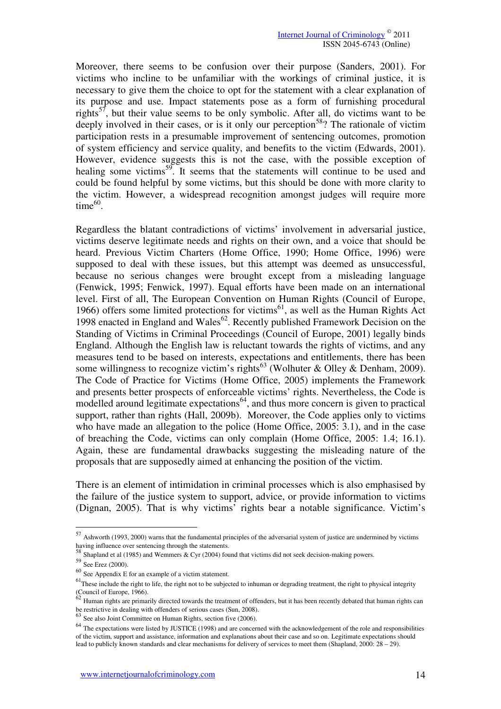Moreover, there seems to be confusion over their purpose (Sanders, 2001). For victims who incline to be unfamiliar with the workings of criminal justice, it is necessary to give them the choice to opt for the statement with a clear explanation of its purpose and use. Impact statements pose as a form of furnishing procedural rights<sup>57</sup>, but their value seems to be only symbolic. After all, do victims want to be deeply involved in their cases, or is it only our perception<sup>58</sup>? The rationale of victim participation rests in a presumable improvement of sentencing outcomes, promotion of system efficiency and service quality, and benefits to the victim (Edwards, 2001). However, evidence suggests this is not the case, with the possible exception of healing some victims<sup>59</sup>. It seems that the statements will continue to be used and could be found helpful by some victims, but this should be done with more clarity to the victim. However, a widespread recognition amongst judges will require more  $time^{60}$ .

Regardless the blatant contradictions of victims' involvement in adversarial justice, victims deserve legitimate needs and rights on their own, and a voice that should be heard. Previous Victim Charters (Home Office, 1990; Home Office, 1996) were supposed to deal with these issues, but this attempt was deemed as unsuccessful, because no serious changes were brought except from a misleading language (Fenwick, 1995; Fenwick, 1997). Equal efforts have been made on an international level. First of all, The European Convention on Human Rights (Council of Europe, 1966) offers some limited protections for victims<sup>61</sup>, as well as the Human Rights Act 1998 enacted in England and Wales<sup>62</sup>. Recently published Framework Decision on the Standing of Victims in Criminal Proceedings (Council of Europe, 2001) legally binds England. Although the English law is reluctant towards the rights of victims, and any measures tend to be based on interests, expectations and entitlements, there has been some willingness to recognize victim's rights<sup>63</sup> (Wolhuter & Olley & Denham, 2009). The Code of Practice for Victims (Home Office, 2005) implements the Framework and presents better prospects of enforceable victims' rights. Nevertheless, the Code is modelled around legitimate expectations<sup>64</sup>, and thus more concern is given to practical support, rather than rights (Hall, 2009b). Moreover, the Code applies only to victims who have made an allegation to the police (Home Office, 2005: 3.1), and in the case of breaching the Code, victims can only complain (Home Office, 2005: 1.4; 16.1). Again, these are fundamental drawbacks suggesting the misleading nature of the proposals that are supposedly aimed at enhancing the position of the victim.

There is an element of intimidation in criminal processes which is also emphasised by the failure of the justice system to support, advice, or provide information to victims (Dignan, 2005). That is why victims' rights bear a notable significance. Victim's

 $^{57}$  Ashworth (1993, 2000) warns that the fundamental principles of the adversarial system of justice are undermined by victims having influence over sentencing through the statements.<br>58 cm

Shapland et al (1985) and Wemmers & Cyr (2004) found that victims did not seek decision-making powers.

<sup>59</sup> See Erez (2000).

 $60$  See Appendix E for an example of a victim statement.

<sup>&</sup>lt;sup>61</sup>These include the right to life, the right not to be subjected to inhuman or degrading treatment, the right to physical integrity

<sup>(</sup>Council of Europe, 1966).<br><sup>62</sup> Human rights are primarily directed towards the treatment of offenders, but it has been recently debated that human rights can be restrictive in dealing with offenders of serious cases (Sun, 2008).

<sup>63</sup> See also Joint Committee on Human Rights, section five (2006).

<sup>&</sup>lt;sup>64</sup> The expectations were listed by JUSTICE (1998) and are concerned with the acknowledgement of the role and responsibilities of the victim, support and assistance, information and explanations about their case and so on. Legitimate expectations should lead to publicly known standards and clear mechanisms for delivery of services to meet them (Shapland, 2000: 28 – 29).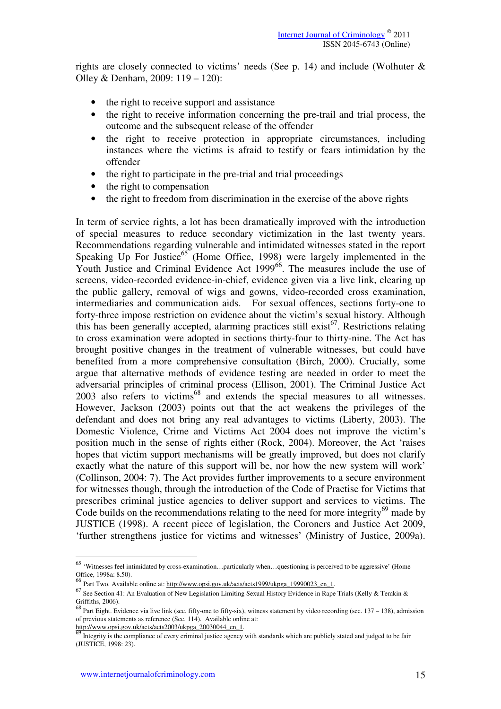rights are closely connected to victims' needs (See p. 14) and include (Wolhuter & Olley & Denham, 2009: 119 – 120):

- the right to receive support and assistance
- the right to receive information concerning the pre-trail and trial process, the outcome and the subsequent release of the offender
- the right to receive protection in appropriate circumstances, including instances where the victims is afraid to testify or fears intimidation by the offender
- the right to participate in the pre-trial and trial proceedings
- the right to compensation
- the right to freedom from discrimination in the exercise of the above rights

In term of service rights, a lot has been dramatically improved with the introduction of special measures to reduce secondary victimization in the last twenty years. Recommendations regarding vulnerable and intimidated witnesses stated in the report Speaking Up For Justice<sup>65</sup> (Home Office, 1998) were largely implemented in the Youth Justice and Criminal Evidence Act 1999<sup>66</sup>. The measures include the use of screens, video-recorded evidence-in-chief, evidence given via a live link, clearing up the public gallery, removal of wigs and gowns, video-recorded cross examination, intermediaries and communication aids. For sexual offences, sections forty-one to forty-three impose restriction on evidence about the victim's sexual history. Although this has been generally accepted, alarming practices still exist<sup>67</sup>. Restrictions relating to cross examination were adopted in sections thirty-four to thirty-nine. The Act has brought positive changes in the treatment of vulnerable witnesses, but could have benefited from a more comprehensive consultation (Birch, 2000). Crucially, some argue that alternative methods of evidence testing are needed in order to meet the adversarial principles of criminal process (Ellison, 2001). The Criminal Justice Act 2003 also refers to victims<sup>68</sup> and extends the special measures to all witnesses. However, Jackson (2003) points out that the act weakens the privileges of the defendant and does not bring any real advantages to victims (Liberty, 2003). The Domestic Violence, Crime and Victims Act 2004 does not improve the victim's position much in the sense of rights either (Rock, 2004). Moreover, the Act 'raises hopes that victim support mechanisms will be greatly improved, but does not clarify exactly what the nature of this support will be, nor how the new system will work' (Collinson, 2004: 7). The Act provides further improvements to a secure environment for witnesses though, through the introduction of the Code of Practise for Victims that prescribes criminal justice agencies to deliver support and services to victims. The Code builds on the recommendations relating to the need for more integrity<sup>69</sup> made by JUSTICE (1998). A recent piece of legislation, the Coroners and Justice Act 2009, 'further strengthens justice for victims and witnesses' (Ministry of Justice, 2009a).

<sup>65</sup> 'Witnesses feel intimidated by cross-examination…particularly when…questioning is perceived to be aggressive' (Home Office, 1998a: 8.50).<br><sup>66</sup> Part Two. Available online at: <u>http://www.opsi.gov.uk/acts/acts1999/ukpga\_19990023\_en\_1</u>.

 $67$  See Section 41: An Evaluation of New Legislation Limiting Sexual History Evidence in Rape Trials (Kelly & Temkin & Griffiths, 2006).<br><sup>68</sup> Part Eight. Evidence via live link (sec. fifty-one to fifty-six), witness statement by video recording (sec. 137 – 138), admission

of previous statements as reference (Sec. 114). Available online at:

http://www.opsi.gov.uk/acts/acts2003/ukpga\_20030044\_en\_1.<br><sup>69</sup> Integrity is the compliance of every criminal justice agency with standards which are publicly stated and judged to be fair (JUSTICE, 1998: 23).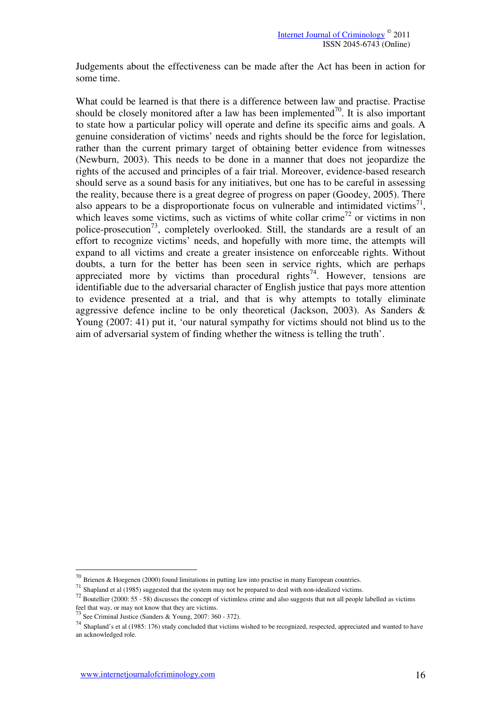Judgements about the effectiveness can be made after the Act has been in action for some time.

What could be learned is that there is a difference between law and practise. Practise should be closely monitored after a law has been implemented<sup>70</sup>. It is also important to state how a particular policy will operate and define its specific aims and goals. A genuine consideration of victims' needs and rights should be the force for legislation, rather than the current primary target of obtaining better evidence from witnesses (Newburn, 2003). This needs to be done in a manner that does not jeopardize the rights of the accused and principles of a fair trial. Moreover, evidence-based research should serve as a sound basis for any initiatives, but one has to be careful in assessing the reality, because there is a great degree of progress on paper (Goodey, 2005). There also appears to be a disproportionate focus on vulnerable and intimidated victims<sup>71</sup>, which leaves some victims, such as victims of white collar crime<sup>72</sup> or victims in non police-prosecution<sup>73</sup>, completely overlooked. Still, the standards are a result of an effort to recognize victims' needs, and hopefully with more time, the attempts will expand to all victims and create a greater insistence on enforceable rights. Without doubts, a turn for the better has been seen in service rights, which are perhaps appreciated more by victims than procedural rights<sup>74</sup>. However, tensions are identifiable due to the adversarial character of English justice that pays more attention to evidence presented at a trial, and that is why attempts to totally eliminate aggressive defence incline to be only theoretical (Jackson, 2003). As Sanders & Young (2007: 41) put it, 'our natural sympathy for victims should not blind us to the aim of adversarial system of finding whether the witness is telling the truth'.

<sup>&</sup>lt;sup>70</sup> Brienen & Hoegenen (2000) found limitations in putting law into practise in many European countries.

 $71$  Shapland et al (1985) suggested that the system may not be prepared to deal with non-idealized victims.

 $72$  Boutellier (2000: 55 - 58) discusses the concept of victimless crime and also suggests that not all people labelled as victims feel that way, or may not know that they are victims.

See Criminal Justice (Sanders & Young,  $2007: 360 - 372$ ).

<sup>74</sup> Shapland's et al (1985: 176) study concluded that victims wished to be recognized, respected, appreciated and wanted to have an acknowledged role.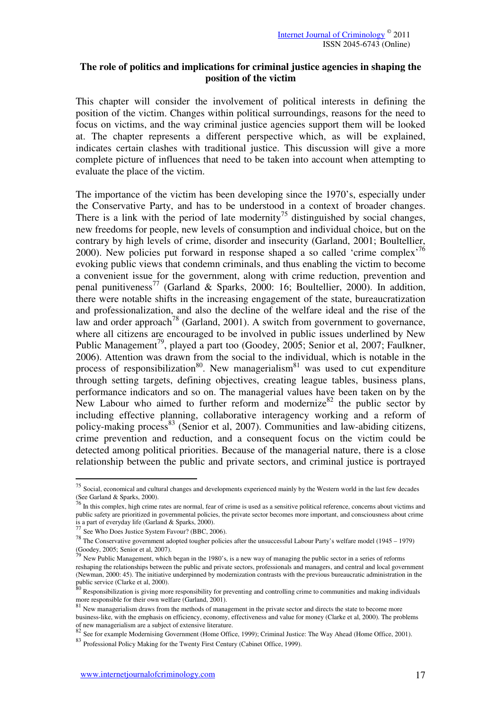## **The role of politics and implications for criminal justice agencies in shaping the position of the victim**

This chapter will consider the involvement of political interests in defining the position of the victim. Changes within political surroundings, reasons for the need to focus on victims, and the way criminal justice agencies support them will be looked at. The chapter represents a different perspective which, as will be explained, indicates certain clashes with traditional justice. This discussion will give a more complete picture of influences that need to be taken into account when attempting to evaluate the place of the victim.

The importance of the victim has been developing since the 1970's, especially under the Conservative Party, and has to be understood in a context of broader changes. There is a link with the period of late modernity<sup>75</sup> distinguished by social changes, new freedoms for people, new levels of consumption and individual choice, but on the contrary by high levels of crime, disorder and insecurity (Garland, 2001; Boultellier, 2000). New policies put forward in response shaped a so called 'crime complex'<sup>76</sup> evoking public views that condemn criminals, and thus enabling the victim to become a convenient issue for the government, along with crime reduction, prevention and penal punitiveness<sup>77</sup> (Garland & Sparks, 2000: 16; Boultellier, 2000). In addition, there were notable shifts in the increasing engagement of the state, bureaucratization and professionalization, and also the decline of the welfare ideal and the rise of the law and order approach<sup>78</sup> (Garland, 2001). A switch from government to governance, where all citizens are encouraged to be involved in public issues underlined by New Public Management<sup>79</sup>, played a part too (Goodey, 2005; Senior et al, 2007; Faulkner, 2006). Attention was drawn from the social to the individual, which is notable in the process of responsibilization<sup>80</sup>. New managerialism<sup>81</sup> was used to cut expenditure through setting targets, defining objectives, creating league tables, business plans, performance indicators and so on. The managerial values have been taken on by the New Labour who aimed to further reform and modernize<sup>82</sup> the public sector by including effective planning, collaborative interagency working and a reform of policy-making process<sup>83</sup> (Senior et al, 2007). Communities and law-abiding citizens, crime prevention and reduction, and a consequent focus on the victim could be detected among political priorities. Because of the managerial nature, there is a close relationship between the public and private sectors, and criminal justice is portrayed

 $^{75}$  Social, economical and cultural changes and developments experienced mainly by the Western world in the last few decades

<sup>(</sup>See Garland & Sparks, 2000).<br><sup>76</sup> In this complex, high crime rates are normal, fear of crime is used as a sensitive political reference, concerns about victims and public safety are prioritized in governmental policies, the private sector becomes more important, and consciousness about crime is a part of everyday life (Garland & Sparks, 2000).

See Who Does Justice System Favour? (BBC, 2006).

<sup>78</sup> The Conservative government adopted tougher policies after the unsuccessful Labour Party's welfare model (1945 – 1979) (Goodey, 2005; Senior et al, 2007).

New Public Management, which began in the 1980's, is a new way of managing the public sector in a series of reforms reshaping the relationships between the public and private sectors, professionals and managers, and central and local government (Newman, 2000: 45). The initiative underpinned by modernization contrasts with the previous bureaucratic administration in the

public service (Clarke et al, 2000).<br><sup>80</sup> Responsibilization is giving more responsibility for preventing and controlling crime to communities and making individuals more responsible for their own welfare (Garland, 2001).<br><sup>81</sup> New managerialism draws from the methods of management in the private sector and directs the state to become more

business-like, with the emphasis on efficiency, economy, effectiveness and value for money (Clarke et al, 2000). The problems of new managerialism are a subject of extensive literature.<br>
<sup>82</sup> a straining and subject of extensive literature.

 $<sup>2</sup>$  See for example Modernising Government (Home Office, 1999); Criminal Justice: The Way Ahead (Home Office, 2001).</sup>

<sup>83</sup> Professional Policy Making for the Twenty First Century (Cabinet Office, 1999).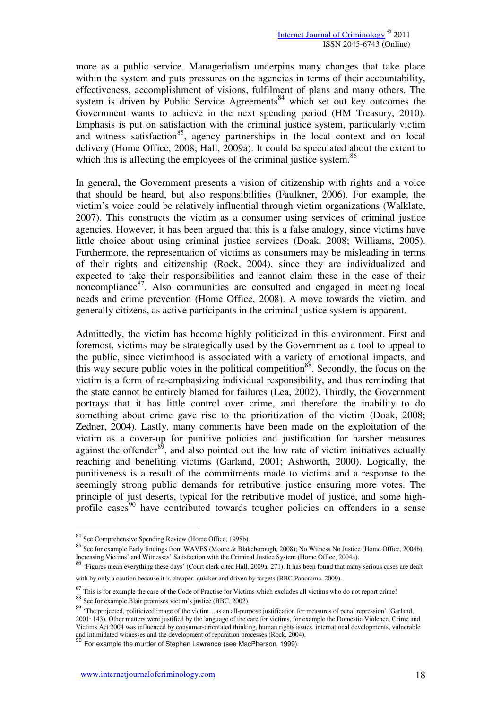more as a public service. Managerialism underpins many changes that take place within the system and puts pressures on the agencies in terms of their accountability, effectiveness, accomplishment of visions, fulfilment of plans and many others. The system is driven by Public Service Agreements<sup>84</sup> which set out key outcomes the Government wants to achieve in the next spending period (HM Treasury, 2010). Emphasis is put on satisfaction with the criminal justice system, particularly victim and witness satisfaction<sup>85</sup>, agency partnerships in the local context and on local delivery (Home Office, 2008; Hall, 2009a). It could be speculated about the extent to which this is affecting the employees of the criminal justice system.<sup>86</sup>

In general, the Government presents a vision of citizenship with rights and a voice that should be heard, but also responsibilities (Faulkner, 2006). For example, the victim's voice could be relatively influential through victim organizations (Walklate, 2007). This constructs the victim as a consumer using services of criminal justice agencies. However, it has been argued that this is a false analogy, since victims have little choice about using criminal justice services (Doak, 2008; Williams, 2005). Furthermore, the representation of victims as consumers may be misleading in terms of their rights and citizenship (Rock, 2004), since they are individualized and expected to take their responsibilities and cannot claim these in the case of their noncompliance $^{87}$ . Also communities are consulted and engaged in meeting local needs and crime prevention (Home Office, 2008). A move towards the victim, and generally citizens, as active participants in the criminal justice system is apparent.

Admittedly, the victim has become highly politicized in this environment. First and foremost, victims may be strategically used by the Government as a tool to appeal to the public, since victimhood is associated with a variety of emotional impacts, and this way secure public votes in the political competition<sup>88</sup>. Secondly, the focus on the victim is a form of re-emphasizing individual responsibility, and thus reminding that the state cannot be entirely blamed for failures (Lea, 2002). Thirdly, the Government portrays that it has little control over crime, and therefore the inability to do something about crime gave rise to the prioritization of the victim (Doak, 2008; Zedner, 2004). Lastly, many comments have been made on the exploitation of the victim as a cover-up for punitive policies and justification for harsher measures against the offender $8^9$ , and also pointed out the low rate of victim initiatives actually reaching and benefiting victims (Garland, 2001; Ashworth, 2000). Logically, the punitiveness is a result of the commitments made to victims and a response to the seemingly strong public demands for retributive justice ensuring more votes. The principle of just deserts, typical for the retributive model of justice, and some highprofile cases  $90$  have contributed towards tougher policies on offenders in a sense

<sup>&</sup>lt;sup>84</sup> See Comprehensive Spending Review (Home Office, 1998b).

<sup>85</sup> See for example Early findings from WAVES (Moore & Blakeborough, 2008); No Witness No Justice (Home Office, 2004b); Increasing Victims' and Witnesses' Satisfaction with the Criminal Justice System (Home Office, 2004a).

<sup>86</sup> 'Figures mean everything these days' (Court clerk cited Hall, 2009a: 271). It has been found that many serious cases are dealt with by only a caution because it is cheaper, quicker and driven by targets (BBC Panorama, 2009).

<sup>&</sup>lt;sup>87</sup> This is for example the case of the Code of Practise for Victims which excludes all victims who do not report crime!

<sup>88</sup> See for example Blair promises victim's justice (BBC, 2002).

<sup>89</sup> The projected, politicized image of the victim…as an all-purpose justification for measures of penal repression' (Garland, 2001: 143). Other matters were justified by the language of the care for victims, for example the Domestic Violence, Crime and Victims Act 2004 was influenced by consumer-orientated thinking, human rights issues, international developments, vulnerable and intimidated witnesses and the development of reparation processes (Rock, 2004).<br>90

For example the murder of Stephen Lawrence (see MacPherson, 1999).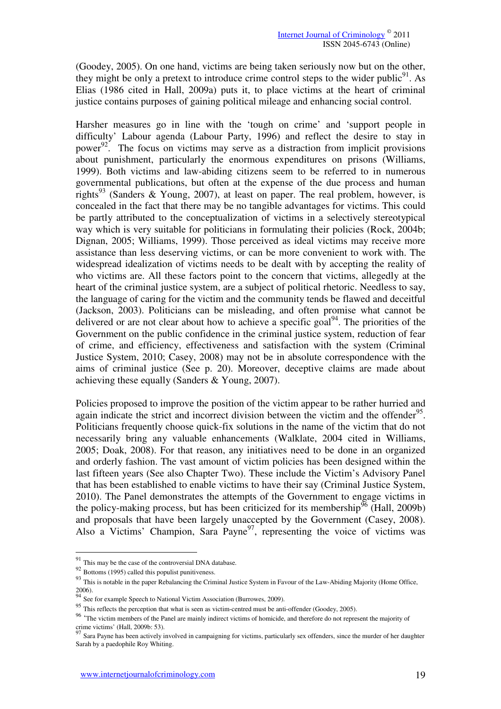(Goodey, 2005). On one hand, victims are being taken seriously now but on the other, they might be only a pretext to introduce crime control steps to the wider public $91$ . As Elias (1986 cited in Hall, 2009a) puts it, to place victims at the heart of criminal justice contains purposes of gaining political mileage and enhancing social control.

Harsher measures go in line with the 'tough on crime' and 'support people in difficulty' Labour agenda (Labour Party, 1996) and reflect the desire to stay in power<sup>92</sup>. The focus on victims may serve as a distraction from implicit provisions about punishment, particularly the enormous expenditures on prisons (Williams, 1999). Both victims and law-abiding citizens seem to be referred to in numerous governmental publications, but often at the expense of the due process and human rights<sup>93</sup> (Sanders & Young, 2007), at least on paper. The real problem, however, is concealed in the fact that there may be no tangible advantages for victims. This could be partly attributed to the conceptualization of victims in a selectively stereotypical way which is very suitable for politicians in formulating their policies (Rock, 2004b; Dignan, 2005; Williams, 1999). Those perceived as ideal victims may receive more assistance than less deserving victims, or can be more convenient to work with. The widespread idealization of victims needs to be dealt with by accepting the reality of who victims are. All these factors point to the concern that victims, allegedly at the heart of the criminal justice system, are a subject of political rhetoric. Needless to say, the language of caring for the victim and the community tends be flawed and deceitful (Jackson, 2003). Politicians can be misleading, and often promise what cannot be delivered or are not clear about how to achieve a specific goal<sup>94</sup>. The priorities of the Government on the public confidence in the criminal justice system, reduction of fear of crime, and efficiency, effectiveness and satisfaction with the system (Criminal Justice System, 2010; Casey, 2008) may not be in absolute correspondence with the aims of criminal justice (See p. 20). Moreover, deceptive claims are made about achieving these equally (Sanders & Young, 2007).

Policies proposed to improve the position of the victim appear to be rather hurried and again indicate the strict and incorrect division between the victim and the offender<sup>95</sup>. Politicians frequently choose quick-fix solutions in the name of the victim that do not necessarily bring any valuable enhancements (Walklate, 2004 cited in Williams, 2005; Doak, 2008). For that reason, any initiatives need to be done in an organized and orderly fashion. The vast amount of victim policies has been designed within the last fifteen years (See also Chapter Two). These include the Victim's Advisory Panel that has been established to enable victims to have their say (Criminal Justice System, 2010). The Panel demonstrates the attempts of the Government to engage victims in the policy-making process, but has been criticized for its membership<sup>96</sup> (Hall, 2009b) and proposals that have been largely unaccepted by the Government (Casey, 2008). Also a Victims' Champion, Sara Payne<sup>97</sup>, representing the voice of victims was

 $91$  This may be the case of the controversial DNA database.

<sup>92</sup> Bottoms (1995) called this populist punitiveness.

<sup>&</sup>lt;sup>93</sup> This is notable in the paper Rebalancing the Criminal Justice System in Favour of the Law-Abiding Majority (Home Office,

<sup>2006).</sup>  <sup>94</sup> See for example Speech to National Victim Association (Burrowes, 2009).

<sup>&</sup>lt;sup>95</sup> This reflects the perception that what is seen as victim-centred must be anti-offender (Goodey, 2005).

<sup>&</sup>lt;sup>96</sup> 'The victim members of the Panel are mainly indirect victims of homicide, and therefore do not represent the majority of crime victims' (Hall, 2009b: 53).

 $^7$  Sara Payne has been actively involved in campaigning for victims, particularly sex offenders, since the murder of her daughter Sarah by a paedophile Roy Whiting.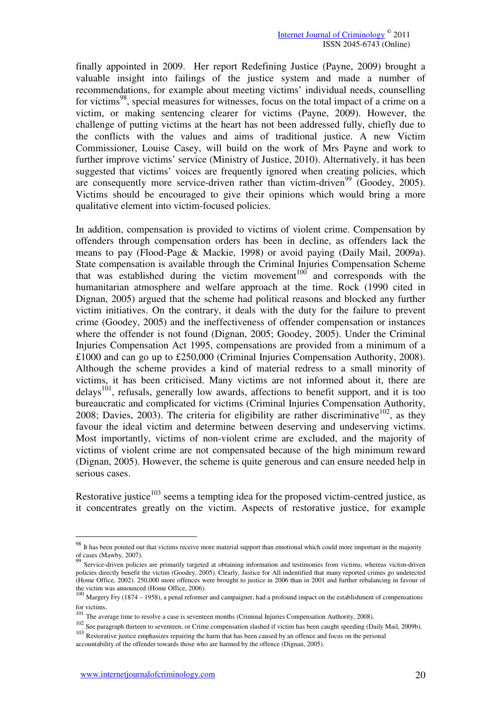finally appointed in 2009. Her report Redefining Justice (Payne, 2009) brought a valuable insight into failings of the justice system and made a number of recommendations, for example about meeting victims' individual needs, counselling for victims<sup>98</sup>, special measures for witnesses, focus on the total impact of a crime on a victim, or making sentencing clearer for victims (Payne, 2009). However, the challenge of putting victims at the heart has not been addressed fully, chiefly due to the conflicts with the values and aims of traditional justice. A new Victim Commissioner, Louise Casey, will build on the work of Mrs Payne and work to further improve victims' service (Ministry of Justice, 2010). Alternatively, it has been suggested that victims' voices are frequently ignored when creating policies, which are consequently more service-driven rather than victim-driven<sup>99</sup> (Goodey, 2005). Victims should be encouraged to give their opinions which would bring a more qualitative element into victim-focused policies.

In addition, compensation is provided to victims of violent crime. Compensation by offenders through compensation orders has been in decline, as offenders lack the means to pay (Flood-Page & Mackie, 1998) or avoid paying (Daily Mail, 2009a). State compensation is available through the Criminal Injuries Compensation Scheme that was established during the victim movement<sup>100</sup> and corresponds with the humanitarian atmosphere and welfare approach at the time. Rock (1990 cited in Dignan, 2005) argued that the scheme had political reasons and blocked any further victim initiatives. On the contrary, it deals with the duty for the failure to prevent crime (Goodey, 2005) and the ineffectiveness of offender compensation or instances where the offender is not found (Dignan, 2005; Goodey, 2005). Under the Criminal Injuries Compensation Act 1995, compensations are provided from a minimum of a £1000 and can go up to £250,000 (Criminal Injuries Compensation Authority, 2008). Although the scheme provides a kind of material redress to a small minority of victims, it has been criticised. Many victims are not informed about it, there are delays<sup>101</sup>, refusals, generally low awards, affections to benefit support, and it is too bureaucratic and complicated for victims (Criminal Injuries Compensation Authority, 2008; Davies, 2003). The criteria for eligibility are rather discriminative<sup>102</sup>, as they favour the ideal victim and determine between deserving and undeserving victims. Most importantly, victims of non-violent crime are excluded, and the majority of victims of violent crime are not compensated because of the high minimum reward (Dignan, 2005). However, the scheme is quite generous and can ensure needed help in serious cases.

Restorative justice $103$  seems a tempting idea for the proposed victim-centred justice, as it concentrates greatly on the victim. Aspects of restorative justice, for example

<sup>&</sup>lt;sup>98</sup> It has been pointed out that victims receive more material support than emotional which could more important in the majority of cases (Mawby, 2007).

<sup>&</sup>lt;sup>99</sup> Service-driven policies are primarily targeted at obtaining information and testimonies from victims, whereas victim-driven policies directly benefit the victim (Goodey, 2005). Clearly, Justice for All indentified that many reported crimes go undetected (Home Office, 2002). 250,000 more offences were brought to justice in 2006 than in 2001 and further rebalancing in favour of the victim was announced (Home Office, 2006).

 $100$  Margery Fry (1874 – 1958), a penal reformer and campaigner, had a profound impact on the establishment of compensations for victims.

<sup>&</sup>lt;sup>101</sup> The average time to resolve a case is seventeen months (Criminal Injuries Compensation Authority, 2008).

<sup>&</sup>lt;sup>102</sup> See paragraph thirteen to seventeen, or Crime compensation slashed if victim has been caught speeding (Daily Mail, 2009b). <sup>103</sup> Restorative justice emphasizes repairing the harm that has been caused by an offence and focus on the personal

accountability of the offender towards those who are harmed by the offence (Dignan, 2005).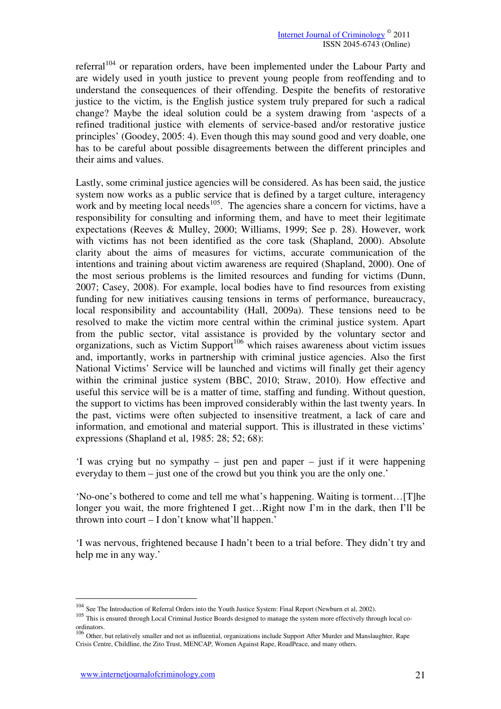referral<sup>104</sup> or reparation orders, have been implemented under the Labour Party and are widely used in youth justice to prevent young people from reoffending and to understand the consequences of their offending. Despite the benefits of restorative justice to the victim, is the English justice system truly prepared for such a radical change? Maybe the ideal solution could be a system drawing from 'aspects of a refined traditional justice with elements of service-based and/or restorative justice principles' (Goodey, 2005: 4). Even though this may sound good and very doable, one has to be careful about possible disagreements between the different principles and their aims and values.

Lastly, some criminal justice agencies will be considered. As has been said, the justice system now works as a public service that is defined by a target culture, interagency work and by meeting local needs<sup>105</sup>. The agencies share a concern for victims, have a responsibility for consulting and informing them, and have to meet their legitimate expectations (Reeves & Mulley, 2000; Williams, 1999; See p. 28). However, work with victims has not been identified as the core task (Shapland, 2000). Absolute clarity about the aims of measures for victims, accurate communication of the intentions and training about victim awareness are required (Shapland, 2000). One of the most serious problems is the limited resources and funding for victims (Dunn, 2007; Casey, 2008). For example, local bodies have to find resources from existing funding for new initiatives causing tensions in terms of performance, bureaucracy, local responsibility and accountability (Hall, 2009a). These tensions need to be resolved to make the victim more central within the criminal justice system. Apart from the public sector, vital assistance is provided by the voluntary sector and organizations, such as Victim Support<sup>106</sup> which raises awareness about victim issues and, importantly, works in partnership with criminal justice agencies. Also the first National Victims' Service will be launched and victims will finally get their agency within the criminal justice system (BBC, 2010; Straw, 2010). How effective and useful this service will be is a matter of time, staffing and funding. Without question, the support to victims has been improved considerably within the last twenty years. In the past, victims were often subjected to insensitive treatment, a lack of care and information, and emotional and material support. This is illustrated in these victims' expressions (Shapland et al, 1985: 28; 52; 68):

'I was crying but no sympathy – just pen and paper – just if it were happening everyday to them – just one of the crowd but you think you are the only one.'

'No-one's bothered to come and tell me what's happening. Waiting is torment…[T]he longer you wait, the more frightened I get…Right now I'm in the dark, then I'll be thrown into court – I don't know what'll happen.'

'I was nervous, frightened because I hadn't been to a trial before. They didn't try and help me in any way.'

<sup>&</sup>lt;sup>104</sup> See The Introduction of Referral Orders into the Youth Justice System: Final Report (Newburn et al, 2002).

<sup>&</sup>lt;sup>105</sup> This is ensured through Local Criminal Justice Boards designed to manage the system more effectively through local coordinators.<br><sup>106</sup> Other, but relatively smaller and not as influential, organizations include Support After Murder and Manslaughter, Rape

Crisis Centre, Childline, the Zito Trust, MENCAP, Women Against Rape, RoadPeace, and many others.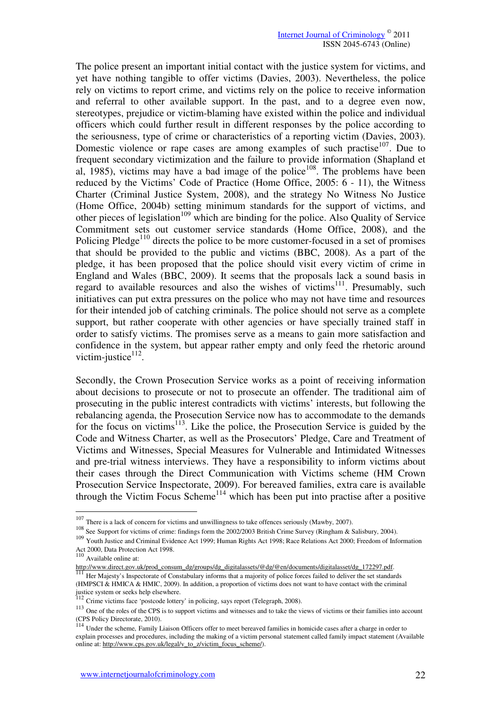The police present an important initial contact with the justice system for victims, and yet have nothing tangible to offer victims (Davies, 2003). Nevertheless, the police rely on victims to report crime, and victims rely on the police to receive information and referral to other available support. In the past, and to a degree even now, stereotypes, prejudice or victim-blaming have existed within the police and individual officers which could further result in different responses by the police according to the seriousness, type of crime or characteristics of a reporting victim (Davies, 2003). Domestic violence or rape cases are among examples of such practise<sup>107</sup>. Due to frequent secondary victimization and the failure to provide information (Shapland et al, 1985), victims may have a bad image of the police<sup>108</sup>. The problems have been reduced by the Victims' Code of Practice (Home Office, 2005: 6 - 11), the Witness Charter (Criminal Justice System, 2008), and the strategy No Witness No Justice (Home Office, 2004b) setting minimum standards for the support of victims, and other pieces of legislation<sup>109</sup> which are binding for the police. Also Quality of Service Commitment sets out customer service standards (Home Office, 2008), and the Policing Pledge<sup>110</sup> directs the police to be more customer-focused in a set of promises that should be provided to the public and victims (BBC, 2008). As a part of the pledge, it has been proposed that the police should visit every victim of crime in England and Wales (BBC, 2009). It seems that the proposals lack a sound basis in regard to available resources and also the wishes of victims<sup>111</sup>. Presumably, such initiatives can put extra pressures on the police who may not have time and resources for their intended job of catching criminals. The police should not serve as a complete support, but rather cooperate with other agencies or have specially trained staff in order to satisfy victims. The promises serve as a means to gain more satisfaction and confidence in the system, but appear rather empty and only feed the rhetoric around victim-justice $112$ .

Secondly, the Crown Prosecution Service works as a point of receiving information about decisions to prosecute or not to prosecute an offender. The traditional aim of prosecuting in the public interest contradicts with victims' interests, but following the rebalancing agenda, the Prosecution Service now has to accommodate to the demands for the focus on victims $113$ . Like the police, the Prosecution Service is guided by the Code and Witness Charter, as well as the Prosecutors' Pledge, Care and Treatment of Victims and Witnesses, Special Measures for Vulnerable and Intimidated Witnesses and pre-trial witness interviews. They have a responsibility to inform victims about their cases through the Direct Communication with Victims scheme (HM Crown Prosecution Service Inspectorate, 2009). For bereaved families, extra care is available through the Victim Focus Scheme<sup>114</sup> which has been put into practise after a positive

 $\overline{a}$ 

<sup>111</sup> Her Majesty's Inspectorate of Constabulary informs that a majority of police forces failed to deliver the set standards (HMPSCI & HMICA & HMIC, 2009). In addition, a proportion of victims does not want to have contact with the criminal

 $107$  There is a lack of concern for victims and unwillingness to take offences seriously (Mawby, 2007).

<sup>108</sup> See Support for victims of crime: findings form the 2002/2003 British Crime Survey (Ringham & Salisbury, 2004).

<sup>109</sup> Youth Justice and Criminal Evidence Act 1999; Human Rights Act 1998; Race Relations Act 2000; Freedom of Information Act 2000, Data Protection Act 1998.<br><sup>110</sup> Available online at:

http://www.direct.gov.uk/prod\_consum\_dg/groups/dg\_digitalassets/@dg/@en/documents/digitalasset/dg\_172297.pdf.

justice system or seeks help elsewhere.<br><sup>112</sup> Crime victims face 'postcode lottery' in policing, says report (Telegraph, 2008).

<sup>&</sup>lt;sup>113</sup> One of the roles of the CPS is to support victims and witnesses and to take the views of victims or their families into account (CPS Policy Directorate, 2010).

<sup>114</sup> Under the scheme, Family Liaison Officers offer to meet bereaved families in homicide cases after a charge in order to explain processes and procedures, including the making of a victim personal statement called family impact statement (Available online at: http://www.cps.gov.uk/legal/v\_to\_z/victim\_focus\_scheme/).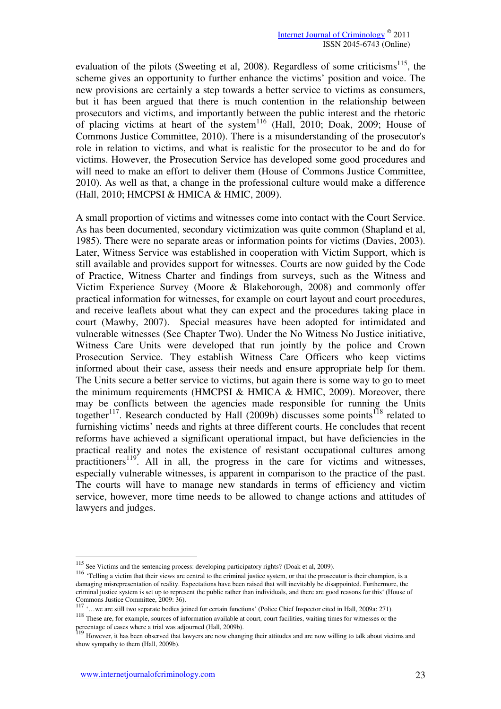evaluation of the pilots (Sweeting et al, 2008). Regardless of some criticisms<sup>115</sup>, the scheme gives an opportunity to further enhance the victims' position and voice. The new provisions are certainly a step towards a better service to victims as consumers, but it has been argued that there is much contention in the relationship between prosecutors and victims, and importantly between the public interest and the rhetoric of placing victims at heart of the system<sup>116</sup> (Hall, 2010; Doak, 2009; House of Commons Justice Committee, 2010). There is a misunderstanding of the prosecutor's role in relation to victims, and what is realistic for the prosecutor to be and do for victims. However, the Prosecution Service has developed some good procedures and will need to make an effort to deliver them (House of Commons Justice Committee, 2010). As well as that, a change in the professional culture would make a difference (Hall, 2010; HMCPSI & HMICA & HMIC, 2009).

A small proportion of victims and witnesses come into contact with the Court Service. As has been documented, secondary victimization was quite common (Shapland et al, 1985). There were no separate areas or information points for victims (Davies, 2003). Later, Witness Service was established in cooperation with Victim Support, which is still available and provides support for witnesses. Courts are now guided by the Code of Practice, Witness Charter and findings from surveys, such as the Witness and Victim Experience Survey (Moore & Blakeborough, 2008) and commonly offer practical information for witnesses, for example on court layout and court procedures, and receive leaflets about what they can expect and the procedures taking place in court (Mawby, 2007). Special measures have been adopted for intimidated and vulnerable witnesses (See Chapter Two). Under the No Witness No Justice initiative, Witness Care Units were developed that run jointly by the police and Crown Prosecution Service. They establish Witness Care Officers who keep victims informed about their case, assess their needs and ensure appropriate help for them. The Units secure a better service to victims, but again there is some way to go to meet the minimum requirements (HMCPSI & HMICA & HMIC, 2009). Moreover, there may be conflicts between the agencies made responsible for running the Units together<sup>117</sup>. Research conducted by Hall (2009b) discusses some points<sup>118</sup> related to furnishing victims' needs and rights at three different courts. He concludes that recent reforms have achieved a significant operational impact, but have deficiencies in the practical reality and notes the existence of resistant occupational cultures among practitioners<sup>119</sup>. All in all, the progress in the care for victims and witnesses, especially vulnerable witnesses, is apparent in comparison to the practice of the past. The courts will have to manage new standards in terms of efficiency and victim service, however, more time needs to be allowed to change actions and attitudes of lawyers and judges.

<sup>&</sup>lt;sup>115</sup> See Victims and the sentencing process: developing participatory rights? (Doak et al, 2009).

<sup>&</sup>lt;sup>116</sup> 'Telling a victim that their views are central to the criminal justice system, or that the prosecutor is their champion, is a damaging misrepresentation of reality. Expectations have been raised that will inevitably be disappointed. Furthermore, the criminal justice system is set up to represent the public rather than individuals, and there are good reasons for this' (House of

Commons Justice Committee, 2009: 36).<br><sup>117</sup> '...we are still two separate bodies joined for certain functions' (Police Chief Inspector cited in Hall, 2009a: 271).

<sup>&</sup>lt;sup>118</sup> These are, for example, sources of information available at court, court facilities, waiting times for witnesses or the

percentage of cases where a trial was adjourned (Hall, 2009b).<br><sup>119</sup> However, it has been observed that lawyers are now changing their attitudes and are now willing to talk about victims and show sympathy to them (Hall, 2009b).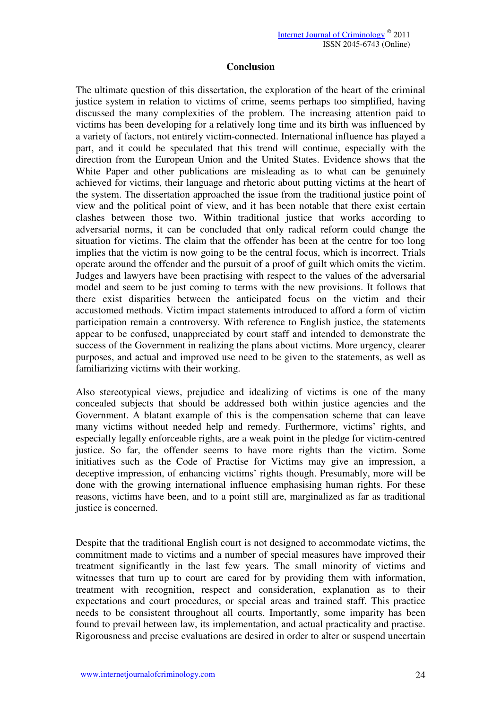## **Conclusion**

The ultimate question of this dissertation, the exploration of the heart of the criminal justice system in relation to victims of crime, seems perhaps too simplified, having discussed the many complexities of the problem. The increasing attention paid to victims has been developing for a relatively long time and its birth was influenced by a variety of factors, not entirely victim-connected. International influence has played a part, and it could be speculated that this trend will continue, especially with the direction from the European Union and the United States. Evidence shows that the White Paper and other publications are misleading as to what can be genuinely achieved for victims, their language and rhetoric about putting victims at the heart of the system. The dissertation approached the issue from the traditional justice point of view and the political point of view, and it has been notable that there exist certain clashes between those two. Within traditional justice that works according to adversarial norms, it can be concluded that only radical reform could change the situation for victims. The claim that the offender has been at the centre for too long implies that the victim is now going to be the central focus, which is incorrect. Trials operate around the offender and the pursuit of a proof of guilt which omits the victim. Judges and lawyers have been practising with respect to the values of the adversarial model and seem to be just coming to terms with the new provisions. It follows that there exist disparities between the anticipated focus on the victim and their accustomed methods. Victim impact statements introduced to afford a form of victim participation remain a controversy. With reference to English justice, the statements appear to be confused, unappreciated by court staff and intended to demonstrate the success of the Government in realizing the plans about victims. More urgency, clearer purposes, and actual and improved use need to be given to the statements, as well as familiarizing victims with their working.

Also stereotypical views, prejudice and idealizing of victims is one of the many concealed subjects that should be addressed both within justice agencies and the Government. A blatant example of this is the compensation scheme that can leave many victims without needed help and remedy. Furthermore, victims' rights, and especially legally enforceable rights, are a weak point in the pledge for victim-centred justice. So far, the offender seems to have more rights than the victim. Some initiatives such as the Code of Practise for Victims may give an impression, a deceptive impression, of enhancing victims' rights though. Presumably, more will be done with the growing international influence emphasising human rights. For these reasons, victims have been, and to a point still are, marginalized as far as traditional justice is concerned.

Despite that the traditional English court is not designed to accommodate victims, the commitment made to victims and a number of special measures have improved their treatment significantly in the last few years. The small minority of victims and witnesses that turn up to court are cared for by providing them with information, treatment with recognition, respect and consideration, explanation as to their expectations and court procedures, or special areas and trained staff. This practice needs to be consistent throughout all courts. Importantly, some imparity has been found to prevail between law, its implementation, and actual practicality and practise. Rigorousness and precise evaluations are desired in order to alter or suspend uncertain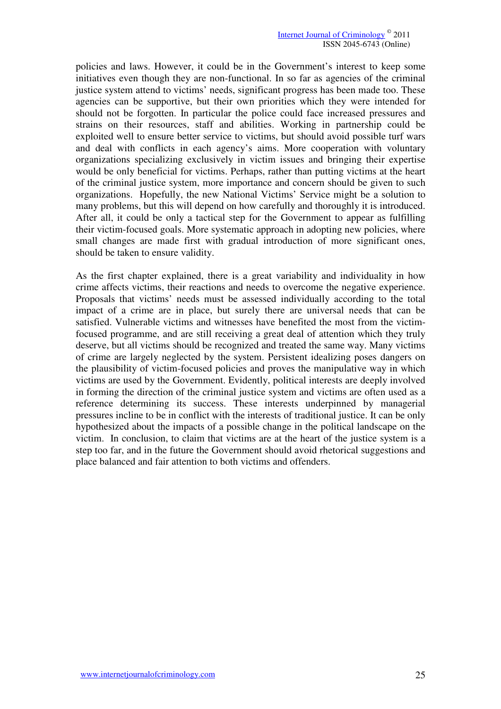policies and laws. However, it could be in the Government's interest to keep some initiatives even though they are non-functional. In so far as agencies of the criminal justice system attend to victims' needs, significant progress has been made too. These agencies can be supportive, but their own priorities which they were intended for should not be forgotten. In particular the police could face increased pressures and strains on their resources, staff and abilities. Working in partnership could be exploited well to ensure better service to victims, but should avoid possible turf wars and deal with conflicts in each agency's aims. More cooperation with voluntary organizations specializing exclusively in victim issues and bringing their expertise would be only beneficial for victims. Perhaps, rather than putting victims at the heart of the criminal justice system, more importance and concern should be given to such organizations. Hopefully, the new National Victims' Service might be a solution to many problems, but this will depend on how carefully and thoroughly it is introduced. After all, it could be only a tactical step for the Government to appear as fulfilling their victim-focused goals. More systematic approach in adopting new policies, where small changes are made first with gradual introduction of more significant ones, should be taken to ensure validity.

As the first chapter explained, there is a great variability and individuality in how crime affects victims, their reactions and needs to overcome the negative experience. Proposals that victims' needs must be assessed individually according to the total impact of a crime are in place, but surely there are universal needs that can be satisfied. Vulnerable victims and witnesses have benefited the most from the victimfocused programme, and are still receiving a great deal of attention which they truly deserve, but all victims should be recognized and treated the same way. Many victims of crime are largely neglected by the system. Persistent idealizing poses dangers on the plausibility of victim-focused policies and proves the manipulative way in which victims are used by the Government. Evidently, political interests are deeply involved in forming the direction of the criminal justice system and victims are often used as a reference determining its success. These interests underpinned by managerial pressures incline to be in conflict with the interests of traditional justice. It can be only hypothesized about the impacts of a possible change in the political landscape on the victim. In conclusion, to claim that victims are at the heart of the justice system is a step too far, and in the future the Government should avoid rhetorical suggestions and place balanced and fair attention to both victims and offenders.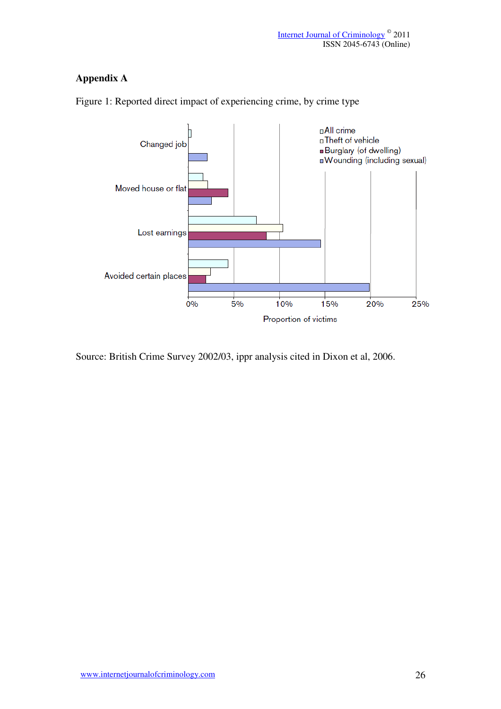# **Appendix A**



Figure 1: Reported direct impact of experiencing crime, by crime type

Source: British Crime Survey 2002/03, ippr analysis cited in Dixon et al, 2006.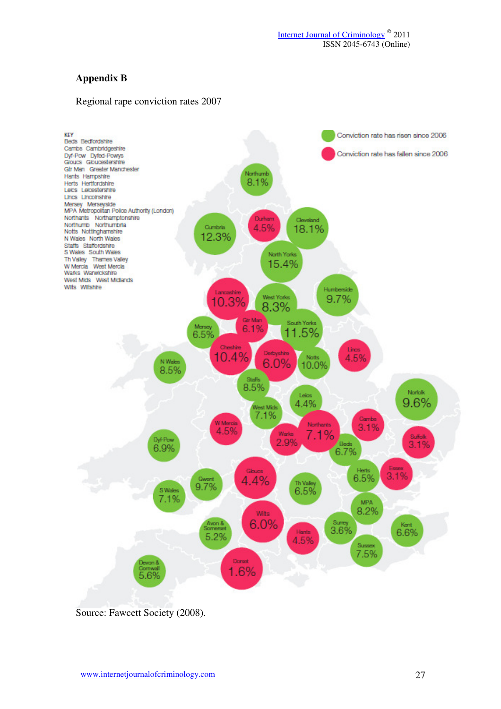## **Appendix B**

#### Regional rape conviction rates 2007



Source: Fawcett Society (2008).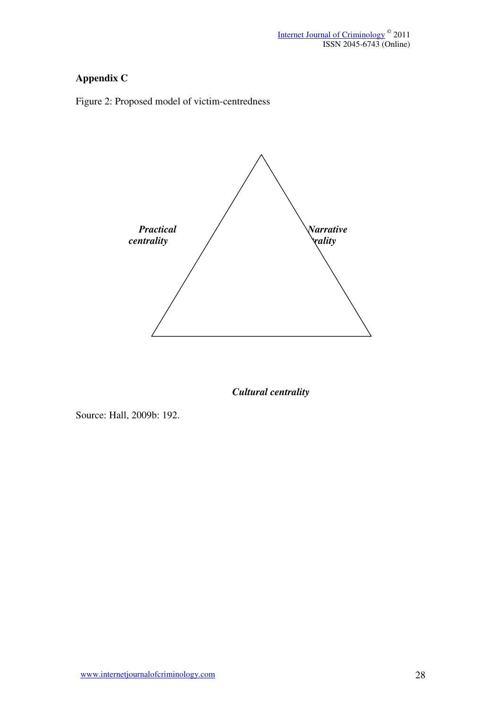# **Appendix C**

Figure 2: Proposed model of victim-centredness



*Cultural centrality* 

Source: Hall, 2009b: 192.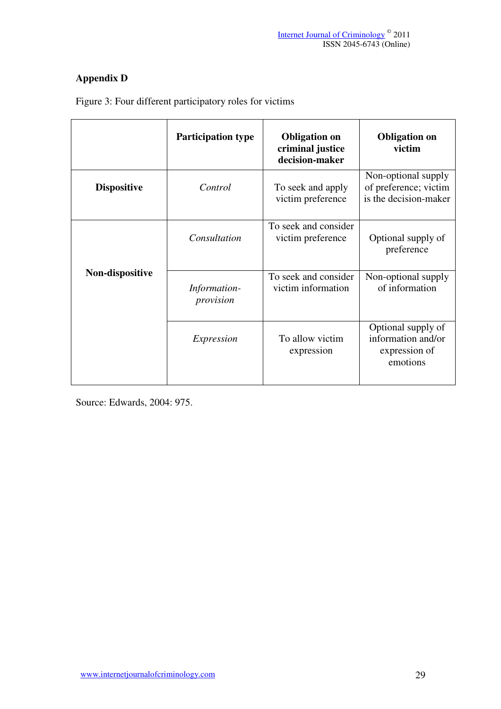# **Appendix D**

|                    | <b>Participation type</b> | <b>Obligation on</b><br>criminal justice<br>decision-maker | <b>Obligation on</b><br>victim                                        |
|--------------------|---------------------------|------------------------------------------------------------|-----------------------------------------------------------------------|
| <b>Dispositive</b> | Control                   | To seek and apply<br>victim preference                     | Non-optional supply<br>of preference; victim<br>is the decision-maker |
|                    | Consultation              | To seek and consider<br>victim preference                  | Optional supply of<br>preference                                      |
| Non-dispositive    | Information-<br>provision | To seek and consider<br>victim information                 | Non-optional supply<br>of information                                 |
|                    | Expression                | To allow victim<br>expression                              | Optional supply of<br>information and/or<br>expression of<br>emotions |

Figure 3: Four different participatory roles for victims

Source: Edwards, 2004: 975.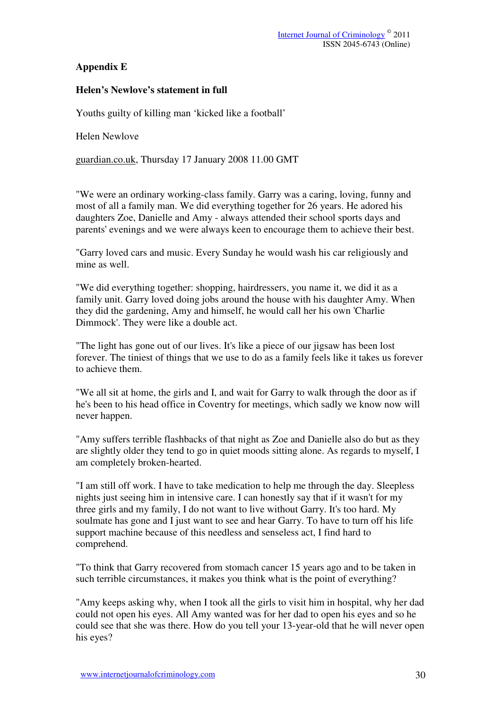# **Appendix E**

## **Helen's Newlove's statement in full**

Youths guilty of killing man 'kicked like a football'

Helen Newlove

guardian.co.uk, Thursday 17 January 2008 11.00 GMT

"We were an ordinary working-class family. Garry was a caring, loving, funny and most of all a family man. We did everything together for 26 years. He adored his daughters Zoe, Danielle and Amy - always attended their school sports days and parents' evenings and we were always keen to encourage them to achieve their best.

"Garry loved cars and music. Every Sunday he would wash his car religiously and mine as well.

"We did everything together: shopping, hairdressers, you name it, we did it as a family unit. Garry loved doing jobs around the house with his daughter Amy. When they did the gardening, Amy and himself, he would call her his own 'Charlie Dimmock'. They were like a double act.

"The light has gone out of our lives. It's like a piece of our jigsaw has been lost forever. The tiniest of things that we use to do as a family feels like it takes us forever to achieve them.

"We all sit at home, the girls and I, and wait for Garry to walk through the door as if he's been to his head office in Coventry for meetings, which sadly we know now will never happen.

"Amy suffers terrible flashbacks of that night as Zoe and Danielle also do but as they are slightly older they tend to go in quiet moods sitting alone. As regards to myself, I am completely broken-hearted.

"I am still off work. I have to take medication to help me through the day. Sleepless nights just seeing him in intensive care. I can honestly say that if it wasn't for my three girls and my family, I do not want to live without Garry. It's too hard. My soulmate has gone and I just want to see and hear Garry. To have to turn off his life support machine because of this needless and senseless act, I find hard to comprehend.

"To think that Garry recovered from stomach cancer 15 years ago and to be taken in such terrible circumstances, it makes you think what is the point of everything?

"Amy keeps asking why, when I took all the girls to visit him in hospital, why her dad could not open his eyes. All Amy wanted was for her dad to open his eyes and so he could see that she was there. How do you tell your 13-year-old that he will never open his eyes?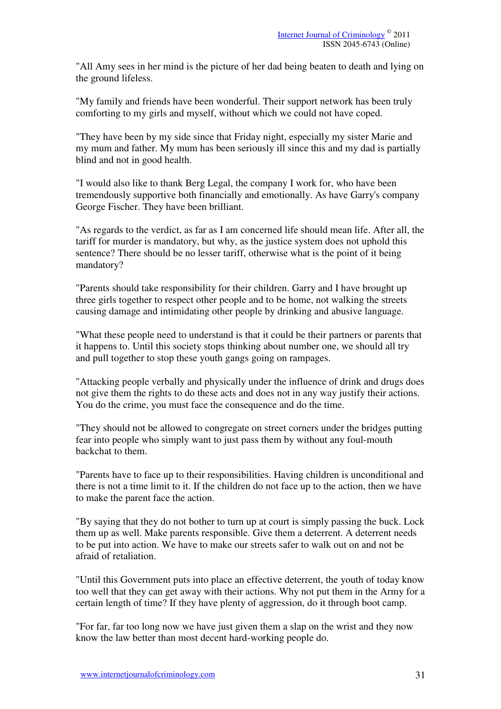"All Amy sees in her mind is the picture of her dad being beaten to death and lying on the ground lifeless.

"My family and friends have been wonderful. Their support network has been truly comforting to my girls and myself, without which we could not have coped.

"They have been by my side since that Friday night, especially my sister Marie and my mum and father. My mum has been seriously ill since this and my dad is partially blind and not in good health.

"I would also like to thank Berg Legal, the company I work for, who have been tremendously supportive both financially and emotionally. As have Garry's company George Fischer. They have been brilliant.

"As regards to the verdict, as far as I am concerned life should mean life. After all, the tariff for murder is mandatory, but why, as the justice system does not uphold this sentence? There should be no lesser tariff, otherwise what is the point of it being mandatory?

"Parents should take responsibility for their children. Garry and I have brought up three girls together to respect other people and to be home, not walking the streets causing damage and intimidating other people by drinking and abusive language.

"What these people need to understand is that it could be their partners or parents that it happens to. Until this society stops thinking about number one, we should all try and pull together to stop these youth gangs going on rampages.

"Attacking people verbally and physically under the influence of drink and drugs does not give them the rights to do these acts and does not in any way justify their actions. You do the crime, you must face the consequence and do the time.

"They should not be allowed to congregate on street corners under the bridges putting fear into people who simply want to just pass them by without any foul-mouth backchat to them.

"Parents have to face up to their responsibilities. Having children is unconditional and there is not a time limit to it. If the children do not face up to the action, then we have to make the parent face the action.

"By saying that they do not bother to turn up at court is simply passing the buck. Lock them up as well. Make parents responsible. Give them a deterrent. A deterrent needs to be put into action. We have to make our streets safer to walk out on and not be afraid of retaliation.

"Until this Government puts into place an effective deterrent, the youth of today know too well that they can get away with their actions. Why not put them in the Army for a certain length of time? If they have plenty of aggression, do it through boot camp.

"For far, far too long now we have just given them a slap on the wrist and they now know the law better than most decent hard-working people do.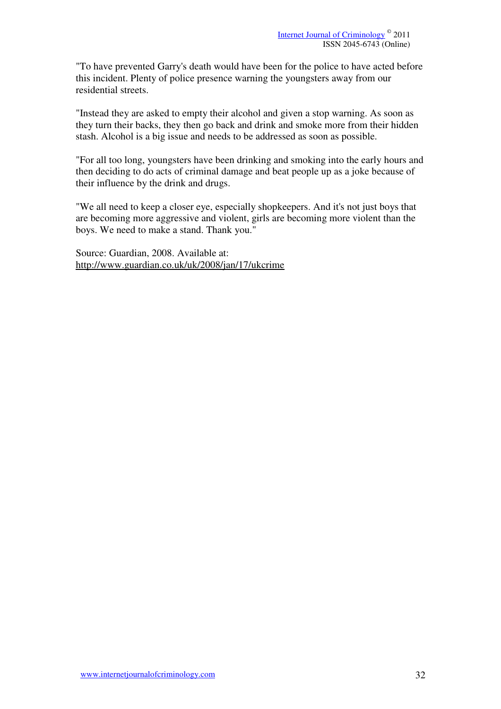"To have prevented Garry's death would have been for the police to have acted before this incident. Plenty of police presence warning the youngsters away from our residential streets.

"Instead they are asked to empty their alcohol and given a stop warning. As soon as they turn their backs, they then go back and drink and smoke more from their hidden stash. Alcohol is a big issue and needs to be addressed as soon as possible.

"For all too long, youngsters have been drinking and smoking into the early hours and then deciding to do acts of criminal damage and beat people up as a joke because of their influence by the drink and drugs.

"We all need to keep a closer eye, especially shopkeepers. And it's not just boys that are becoming more aggressive and violent, girls are becoming more violent than the boys. We need to make a stand. Thank you."

Source: Guardian, 2008. Available at: http://www.guardian.co.uk/uk/2008/jan/17/ukcrime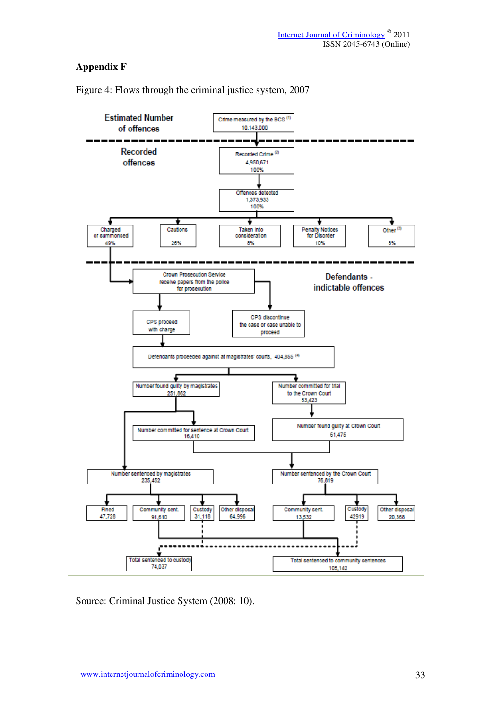## **Appendix F**



Figure 4: Flows through the criminal justice system, 2007

Source: Criminal Justice System (2008: 10).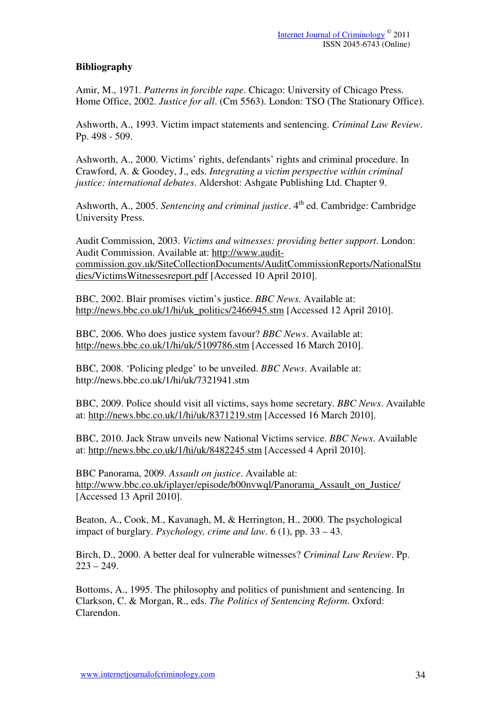## **Bibliography**

Amir, M., 1971. *Patterns in forcible rape*. Chicago: University of Chicago Press. Home Office, 2002. *Justice for all*. (Cm 5563). London: TSO (The Stationary Office).

Ashworth, A., 1993. Victim impact statements and sentencing. *Criminal Law Review*. Pp. 498 - 509.

Ashworth, A., 2000. Victims' rights, defendants' rights and criminal procedure. In Crawford, A. & Goodey, J., eds. *Integrating a victim perspective within criminal justice: international debates*. Aldershot: Ashgate Publishing Ltd. Chapter 9.

Ashworth, A., 2005. *Sentencing and criminal justice*. 4<sup>th</sup> ed. Cambridge: Cambridge University Press.

Audit Commission, 2003. *Victims and witnesses: providing better support*. London: Audit Commission. Available at: http://www.auditcommission.gov.uk/SiteCollectionDocuments/AuditCommissionReports/NationalStu dies/VictimsWitnessesreport.pdf [Accessed 10 April 2010].

BBC, 2002. Blair promises victim's justice. *BBC News*. Available at: http://news.bbc.co.uk/1/hi/uk\_politics/2466945.stm [Accessed 12 April 2010].

BBC, 2006. Who does justice system favour? *BBC News*. Available at: http://news.bbc.co.uk/1/hi/uk/5109786.stm [Accessed 16 March 2010].

BBC, 2008. 'Policing pledge' to be unveiled. *BBC News*. Available at: http://news.bbc.co.uk/1/hi/uk/7321941.stm

BBC, 2009. Police should visit all victims, says home secretary. *BBC News*. Available at: http://news.bbc.co.uk/1/hi/uk/8371219.stm [Accessed 16 March 2010].

BBC, 2010. Jack Straw unveils new National Victims service. *BBC News*. Available at: http://news.bbc.co.uk/1/hi/uk/8482245.stm [Accessed 4 April 2010].

BBC Panorama, 2009. *Assault on justice*. Available at: http://www.bbc.co.uk/iplayer/episode/b00nvwql/Panorama\_Assault\_on\_Justice/ [Accessed 13 April 2010].

Beaton, A., Cook, M., Kavanagh, M, & Herrington, H., 2000. The psychological impact of burglary. *Psychology, crime and law*. 6 (1), pp. 33 – 43.

Birch, D., 2000. A better deal for vulnerable witnesses? *Criminal Law Review*. Pp.  $223 - 249.$ 

Bottoms, A., 1995. The philosophy and politics of punishment and sentencing. In Clarkson, C. & Morgan, R., eds. *The Politics of Sentencing Reform*. Oxford: Clarendon.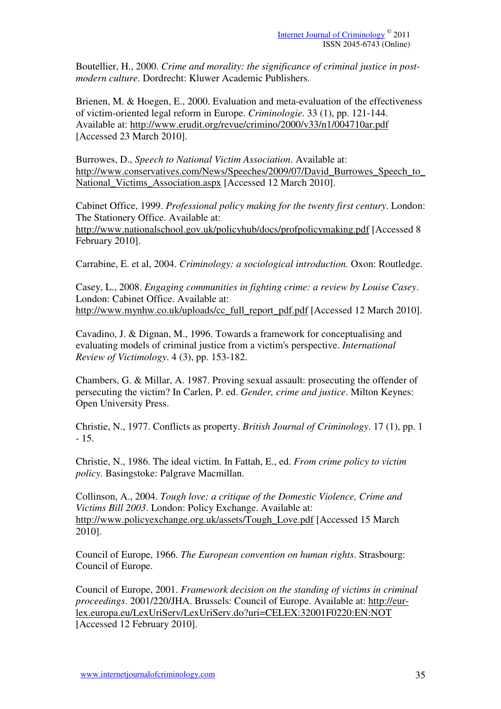Boutellier, H., 2000. *Crime and morality: the significance of criminal justice in postmodern culture*. Dordrecht: Kluwer Academic Publishers.

Brienen, M. & Hoegen, E., 2000. Evaluation and meta-evaluation of the effectiveness of victim-oriented legal reform in Europe. *Criminologie*. 33 (1), pp. 121-144. Available at: http://www.erudit.org/revue/crimino/2000/v33/n1/004710ar.pdf [Accessed 23 March 2010].

Burrowes, D., *Speech to National Victim Association*. Available at: http://www.conservatives.com/News/Speeches/2009/07/David\_Burrowes\_Speech\_to National\_Victims\_Association.aspx [Accessed 12 March 2010].

Cabinet Office, 1999. *Professional policy making for the twenty first century*. London: The Stationery Office. Available at: http://www.nationalschool.gov.uk/policyhub/docs/profpolicymaking.pdf [Accessed 8 February 2010].

Carrabine, E. et al, 2004. *Criminology: a sociological introduction.* Oxon: Routledge.

Casey, L., 2008. *Engaging communities in fighting crime: a review by Louise Casey*. London: Cabinet Office. Available at: http://www.mynhw.co.uk/uploads/cc\_full\_report\_pdf.pdf [Accessed 12 March 2010].

Cavadino, J. & Dignan, M., 1996. Towards a framework for conceptualising and evaluating models of criminal justice from a victim's perspective. *International Review of Victimology*. 4 (3), pp. 153-182.

Chambers, G. & Millar, A. 1987. Proving sexual assault: prosecuting the offender of persecuting the victim? In Carlen, P. ed. *Gender, crime and justice*. Milton Keynes: Open University Press.

Christie, N., 1977. Conflicts as property. *British Journal of Criminology*. 17 (1), pp. 1 - 15.

Christie, N., 1986. The ideal victim. In Fattah, E., ed. *From crime policy to victim policy*. Basingstoke: Palgrave Macmillan.

Collinson, A., 2004. *Tough love: a critique of the Domestic Violence, Crime and Victims Bill 2003*. London: Policy Exchange. Available at: http://www.policyexchange.org.uk/assets/Tough\_Love.pdf [Accessed 15 March 2010].

Council of Europe, 1966. *The European convention on human rights*. Strasbourg: Council of Europe.

Council of Europe, 2001. *Framework decision on the standing of victims in criminal proceedings*. 2001/220/JHA. Brussels: Council of Europe. Available at: http://eurlex.europa.eu/LexUriServ/LexUriServ.do?uri=CELEX:32001F0220:EN:NOT [Accessed 12 February 2010].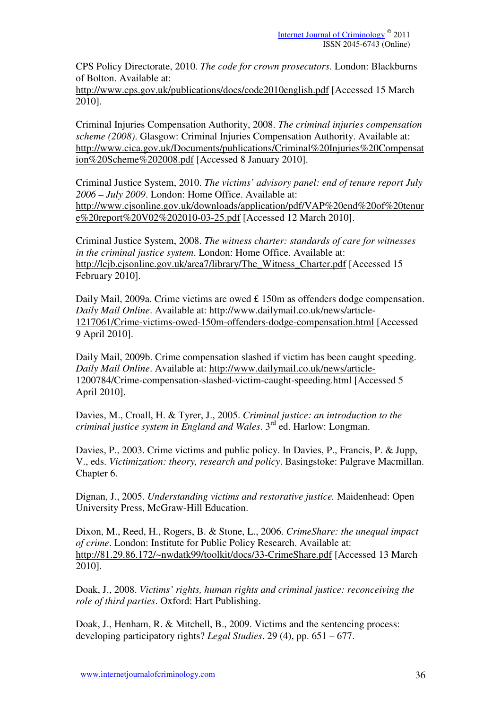CPS Policy Directorate, 2010. *The code for crown prosecutors*. London: Blackburns of Bolton. Available at:

http://www.cps.gov.uk/publications/docs/code2010english.pdf [Accessed 15 March 2010].

Criminal Injuries Compensation Authority, 2008. *The criminal injuries compensation scheme (2008)*. Glasgow: Criminal Injuries Compensation Authority. Available at: http://www.cica.gov.uk/Documents/publications/Criminal%20Injuries%20Compensat ion%20Scheme%202008.pdf [Accessed 8 January 2010].

Criminal Justice System, 2010. *The victims' advisory panel: end of tenure report July 2006 – July 2009*. London: Home Office. Available at: http://www.cjsonline.gov.uk/downloads/application/pdf/VAP%20end%20of%20tenur e%20report%20V02%202010-03-25.pdf [Accessed 12 March 2010].

Criminal Justice System, 2008. *The witness charter: standards of care for witnesses in the criminal justice system*. London: Home Office. Available at: http://lcib.cisonline.gov.uk/area7/library/The\_Witness\_Charter.pdf [Accessed 15] February 2010].

Daily Mail, 2009a. Crime victims are owed £ 150m as offenders dodge compensation. *Daily Mail Online*. Available at: http://www.dailymail.co.uk/news/article-1217061/Crime-victims-owed-150m-offenders-dodge-compensation.html [Accessed 9 April 2010].

Daily Mail, 2009b. Crime compensation slashed if victim has been caught speeding. *Daily Mail Online*. Available at: http://www.dailymail.co.uk/news/article-1200784/Crime-compensation-slashed-victim-caught-speeding.html [Accessed 5 April 2010].

Davies, M., Croall, H. & Tyrer, J., 2005. *Criminal justice: an introduction to the criminal justice system in England and Wales*. 3rd ed. Harlow: Longman.

Davies, P., 2003. Crime victims and public policy. In Davies, P., Francis, P. & Jupp, V., eds. *Victimization: theory, research and policy*. Basingstoke: Palgrave Macmillan. Chapter 6.

Dignan, J., 2005. *Understanding victims and restorative justice.* Maidenhead: Open University Press, McGraw-Hill Education.

Dixon, M., Reed, H., Rogers, B. & Stone, L., 2006. *CrimeShare: the unequal impact of crime*. London: Institute for Public Policy Research. Available at: http://81.29.86.172/~nwdatk99/toolkit/docs/33-CrimeShare.pdf [Accessed 13 March 2010].

Doak, J., 2008. *Victims' rights, human rights and criminal justice: reconceiving the role of third parties*. Oxford: Hart Publishing.

Doak, J., Henham, R. & Mitchell, B., 2009. Victims and the sentencing process: developing participatory rights? *Legal Studies*. 29 (4), pp. 651 – 677.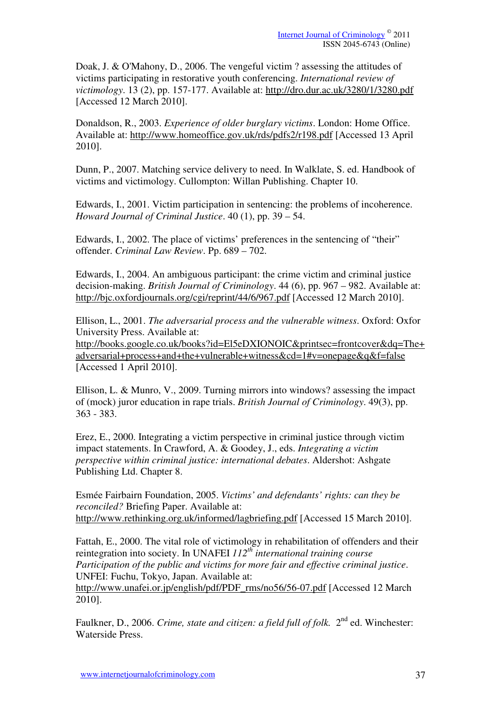Doak, J. & O'Mahony, D., 2006. The vengeful victim ? assessing the attitudes of victims participating in restorative youth conferencing. *International review of victimology*. 13 (2), pp. 157-177. Available at: http://dro.dur.ac.uk/3280/1/3280.pdf [Accessed 12 March 2010].

Donaldson, R., 2003. *Experience of older burglary victims*. London: Home Office. Available at: http://www.homeoffice.gov.uk/rds/pdfs2/r198.pdf [Accessed 13 April 2010].

Dunn, P., 2007. Matching service delivery to need. In Walklate, S. ed. Handbook of victims and victimology. Cullompton: Willan Publishing. Chapter 10.

Edwards, I., 2001. Victim participation in sentencing: the problems of incoherence. *Howard Journal of Criminal Justice*. 40 (1), pp. 39 – 54.

Edwards, I., 2002. The place of victims' preferences in the sentencing of "their" offender. *Criminal Law Review*. Pp. 689 – 702.

Edwards, I., 2004. An ambiguous participant: the crime victim and criminal justice decision-making. *British Journal of Criminology*. 44 (6), pp. 967 – 982. Available at: http://bjc.oxfordjournals.org/cgi/reprint/44/6/967.pdf [Accessed 12 March 2010].

Ellison, L., 2001. *The adversarial process and the vulnerable witness*. Oxford: Oxfor University Press. Available at: http://books.google.co.uk/books?id=El5eDXIONOIC&printsec=frontcover&dq=The+

adversarial+process+and+the+vulnerable+witness&cd=1#v=onepage&q&f=false [Accessed 1 April 2010].

Ellison, L. & Munro, V., 2009. Turning mirrors into windows? assessing the impact of (mock) juror education in rape trials. *British Journal of Criminology*. 49(3), pp. 363 - 383.

Erez, E., 2000. Integrating a victim perspective in criminal justice through victim impact statements. In Crawford, A. & Goodey, J., eds. *Integrating a victim perspective within criminal justice: international debates*. Aldershot: Ashgate Publishing Ltd. Chapter 8.

Esmée Fairbairn Foundation, 2005. *Victims' and defendants' rights: can they be reconciled?* Briefing Paper. Available at: http://www.rethinking.org.uk/informed/lagbriefing.pdf [Accessed 15 March 2010].

Fattah, E., 2000. The vital role of victimology in rehabilitation of offenders and their reintegration into society. In UNAFEI *112th international training course Participation of the public and victims for more fair and effective criminal justice*. UNFEI: Fuchu, Tokyo, Japan. Available at: http://www.unafei.or.jp/english/pdf/PDF\_rms/no56/56-07.pdf [Accessed 12 March] 2010].

Faulkner, D., 2006. *Crime, state and citizen: a field full of folk.* 2<sup>nd</sup> ed. Winchester: Waterside Press.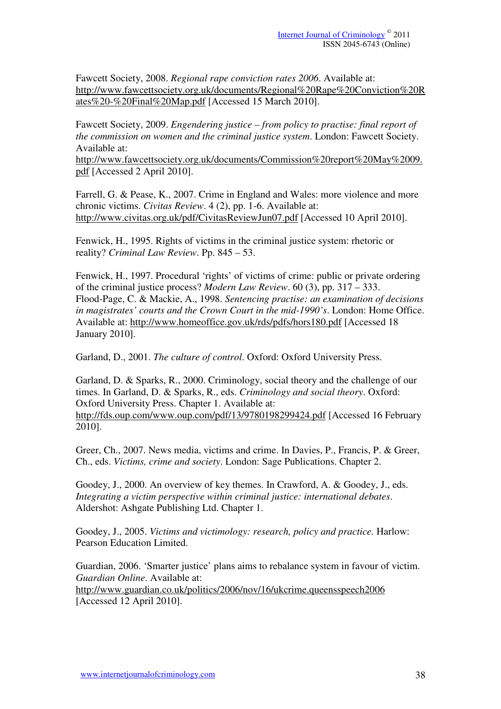Fawcett Society, 2008. *Regional rape conviction rates 2006*. Available at: http://www.fawcettsociety.org.uk/documents/Regional%20Rape%20Conviction%20R ates%20-%20Final%20Map.pdf [Accessed 15 March 2010].

Fawcett Society, 2009. *Engendering justice – from policy to practise: final report of the commission on women and the criminal justice system*. London: Fawcett Society. Available at:

http://www.fawcettsociety.org.uk/documents/Commission%20report%20May%2009. pdf [Accessed 2 April 2010].

Farrell, G. & Pease, K., 2007. Crime in England and Wales: more violence and more chronic victims. *Civitas Review*. 4 (2), pp. 1-6. Available at: http://www.civitas.org.uk/pdf/CivitasReviewJun07.pdf [Accessed 10 April 2010].

Fenwick, H., 1995. Rights of victims in the criminal justice system: rhetoric or reality? *Criminal Law Review*. Pp. 845 – 53.

Fenwick, H., 1997. Procedural 'rights' of victims of crime: public or private ordering of the criminal justice process? *Modern Law Review*. 60 (3), pp. 317 – 333. Flood-Page, C. & Mackie, A., 1998. *Sentencing practise: an examination of decisions in magistrates' courts and the Crown Court in the mid-1990's*. London: Home Office. Available at: http://www.homeoffice.gov.uk/rds/pdfs/hors180.pdf [Accessed 18 January 2010].

Garland, D., 2001. *The culture of control*. Oxford: Oxford University Press.

Garland, D. & Sparks, R., 2000. Criminology, social theory and the challenge of our times. In Garland, D. & Sparks, R., eds. *Criminology and social theory*. Oxford: Oxford University Press. Chapter 1. Available at:

http://fds.oup.com/www.oup.com/pdf/13/9780198299424.pdf [Accessed 16 February 2010].

Greer, Ch., 2007. News media, victims and crime. In Davies, P., Francis, P. & Greer, Ch., eds. *Victims, crime and society*. London: Sage Publications. Chapter 2.

Goodey, J., 2000. An overview of key themes. In Crawford, A. & Goodey, J., eds. *Integrating a victim perspective within criminal justice: international debates*. Aldershot: Ashgate Publishing Ltd. Chapter 1.

Goodey, J., 2005. *Victims and victimology: research, policy and practice.* Harlow: Pearson Education Limited.

Guardian, 2006. 'Smarter justice' plans aims to rebalance system in favour of victim. *Guardian Online*. Available at:

http://www.guardian.co.uk/politics/2006/nov/16/ukcrime.queensspeech2006 [Accessed 12 April 2010].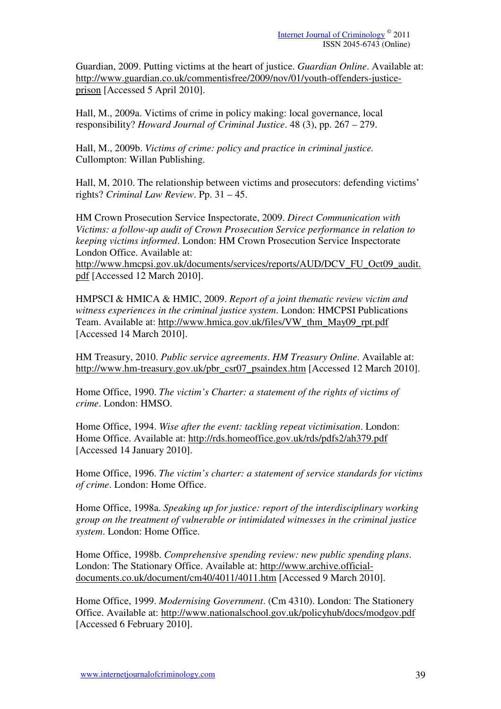Guardian, 2009. Putting victims at the heart of justice. *Guardian Online*. Available at: http://www.guardian.co.uk/commentisfree/2009/nov/01/youth-offenders-justiceprison [Accessed 5 April 2010].

Hall, M., 2009a. Victims of crime in policy making: local governance, local responsibility? *Howard Journal of Criminal Justice*. 48 (3), pp. 267 – 279.

Hall, M., 2009b. *Victims of crime: policy and practice in criminal justice.*  Cullompton: Willan Publishing.

Hall, M, 2010. The relationship between victims and prosecutors: defending victims' rights? *Criminal Law Review*. Pp. 31 – 45.

HM Crown Prosecution Service Inspectorate, 2009. *Direct Communication with Victims: a follow-up audit of Crown Prosecution Service performance in relation to keeping victims informed*. London: HM Crown Prosecution Service Inspectorate London Office. Available at:

http://www.hmcpsi.gov.uk/documents/services/reports/AUD/DCV\_FU\_Oct09\_audit. pdf [Accessed 12 March 2010].

HMPSCI & HMICA & HMIC, 2009. *Report of a joint thematic review victim and witness experiences in the criminal justice system*. London: HMCPSI Publications Team. Available at: http://www.hmica.gov.uk/files/VW\_thm\_May09\_rpt.pdf [Accessed 14 March 2010].

HM Treasury, 2010. *Public service agreements*. *HM Treasury Online*. Available at: http://www.hm-treasury.gov.uk/pbr\_csr07\_psaindex.htm [Accessed 12 March 2010].

Home Office, 1990. *The victim's Charter: a statement of the rights of victims of crime*. London: HMSO.

Home Office, 1994. *Wise after the event: tackling repeat victimisation*. London: Home Office. Available at: http://rds.homeoffice.gov.uk/rds/pdfs2/ah379.pdf [Accessed 14 January 2010].

Home Office, 1996. *The victim's charter: a statement of service standards for victims of crime*. London: Home Office.

Home Office, 1998a. *Speaking up for justice: report of the interdisciplinary working group on the treatment of vulnerable or intimidated witnesses in the criminal justice system*. London: Home Office.

Home Office, 1998b. *Comprehensive spending review: new public spending plans*. London: The Stationary Office. Available at: http://www.archive.officialdocuments.co.uk/document/cm40/4011/4011.htm [Accessed 9 March 2010].

Home Office, 1999. *Modernising Government*. (Cm 4310). London: The Stationery Office. Available at: http://www.nationalschool.gov.uk/policyhub/docs/modgov.pdf [Accessed 6 February 2010].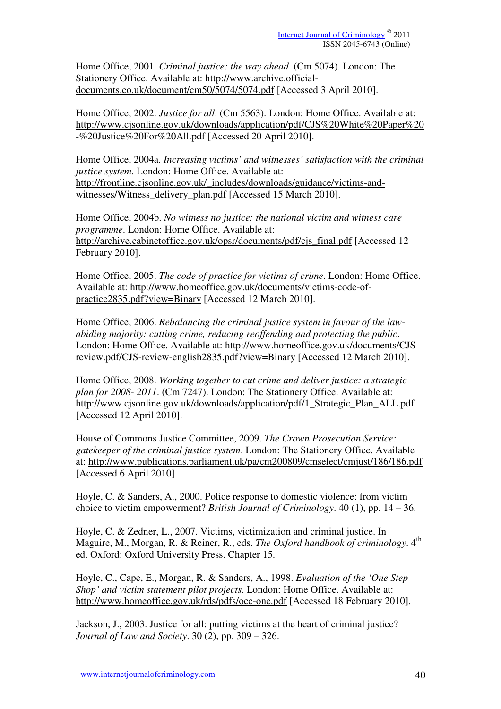Home Office, 2001. *Criminal justice: the way ahead*. (Cm 5074). London: The Stationery Office. Available at: http://www.archive.officialdocuments.co.uk/document/cm50/5074/5074.pdf [Accessed 3 April 2010].

Home Office, 2002. *Justice for all*. (Cm 5563). London: Home Office. Available at: http://www.cjsonline.gov.uk/downloads/application/pdf/CJS%20White%20Paper%20 -%20Justice%20For%20All.pdf [Accessed 20 April 2010].

Home Office, 2004a. *Increasing victims' and witnesses' satisfaction with the criminal justice system*. London: Home Office. Available at: http://frontline.cjsonline.gov.uk/\_includes/downloads/guidance/victims-andwitnesses/Witness\_delivery\_plan.pdf [Accessed 15 March 2010].

Home Office, 2004b. *No witness no justice: the national victim and witness care programme*. London: Home Office. Available at: http://archive.cabinetoffice.gov.uk/opsr/documents/pdf/cjs\_final.pdf [Accessed 12 February 2010].

Home Office, 2005. *The code of practice for victims of crime*. London: Home Office. Available at: http://www.homeoffice.gov.uk/documents/victims-code-ofpractice2835.pdf?view=Binary [Accessed 12 March 2010].

Home Office, 2006. *Rebalancing the criminal justice system in favour of the lawabiding majority: cutting crime, reducing reoffending and protecting the public*. London: Home Office. Available at: http://www.homeoffice.gov.uk/documents/CJSreview.pdf/CJS-review-english2835.pdf?view=Binary [Accessed 12 March 2010].

Home Office, 2008. *Working together to cut crime and deliver justice: a strategic plan for 2008- 2011*. (Cm 7247). London: The Stationery Office. Available at: http://www.cjsonline.gov.uk/downloads/application/pdf/1\_Strategic\_Plan\_ALL.pdf [Accessed 12 April 2010].

House of Commons Justice Committee, 2009. *The Crown Prosecution Service: gatekeeper of the criminal justice system*. London: The Stationery Office. Available at: http://www.publications.parliament.uk/pa/cm200809/cmselect/cmjust/186/186.pdf [Accessed 6 April 2010].

Hoyle, C. & Sanders, A., 2000. Police response to domestic violence: from victim choice to victim empowerment? *British Journal of Criminology*. 40 (1), pp. 14 – 36.

Hoyle, C. & Zedner, L., 2007. Victims, victimization and criminal justice. In Maguire, M., Morgan, R. & Reiner, R., eds. *The Oxford handbook of criminology*. 4<sup>th</sup> ed. Oxford: Oxford University Press. Chapter 15.

Hoyle, C., Cape, E., Morgan, R. & Sanders, A., 1998. *Evaluation of the 'One Step Shop' and victim statement pilot projects*. London: Home Office. Available at: http://www.homeoffice.gov.uk/rds/pdfs/occ-one.pdf [Accessed 18 February 2010].

Jackson, J., 2003. Justice for all: putting victims at the heart of criminal justice? *Journal of Law and Society*. 30 (2), pp. 309 – 326.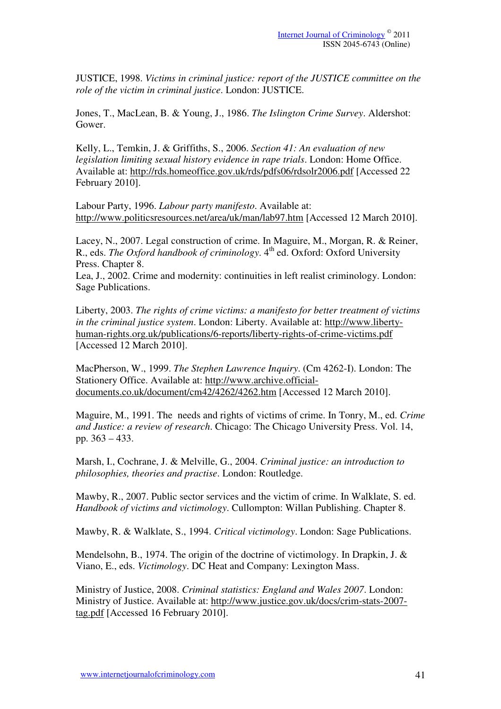JUSTICE, 1998. *Victims in criminal justice: report of the JUSTICE committee on the role of the victim in criminal justice*. London: JUSTICE.

Jones, T., MacLean, B. & Young, J., 1986. *The Islington Crime Survey*. Aldershot: Gower.

Kelly, L., Temkin, J. & Griffiths, S., 2006. *Section 41: An evaluation of new legislation limiting sexual history evidence in rape trials*. London: Home Office. Available at: http://rds.homeoffice.gov.uk/rds/pdfs06/rdsolr2006.pdf [Accessed 22 February 2010].

Labour Party, 1996. *Labour party manifesto*. Available at: http://www.politicsresources.net/area/uk/man/lab97.htm [Accessed 12 March 2010].

Lacey, N., 2007. Legal construction of crime. In Maguire, M., Morgan, R. & Reiner, R., eds. *The Oxford handbook of criminology*. 4<sup>th</sup> ed. Oxford: Oxford University Press. Chapter 8.

Lea, J., 2002. Crime and modernity: continuities in left realist criminology. London: Sage Publications.

Liberty, 2003. *The rights of crime victims: a manifesto for better treatment of victims in the criminal justice system*. London: Liberty. Available at: http://www.libertyhuman-rights.org.uk/publications/6-reports/liberty-rights-of-crime-victims.pdf [Accessed 12 March 2010].

MacPherson, W., 1999. *The Stephen Lawrence Inquiry*. (Cm 4262-I). London: The Stationery Office. Available at: http://www.archive.officialdocuments.co.uk/document/cm42/4262/4262.htm [Accessed 12 March 2010].

Maguire, M., 1991. The needs and rights of victims of crime. In Tonry, M., ed. *Crime and Justice: a review of research*. Chicago: The Chicago University Press. Vol. 14, pp. 363 – 433.

Marsh, I., Cochrane, J. & Melville, G., 2004. *Criminal justice: an introduction to philosophies, theories and practise*. London: Routledge.

Mawby, R., 2007. Public sector services and the victim of crime. In Walklate, S. ed. *Handbook of victims and victimology*. Cullompton: Willan Publishing. Chapter 8.

Mawby, R. & Walklate, S., 1994. *Critical victimology*. London: Sage Publications.

Mendelsohn, B., 1974. The origin of the doctrine of victimology. In Drapkin, J. & Viano, E., eds. *Victimology*. DC Heat and Company: Lexington Mass.

Ministry of Justice, 2008. *Criminal statistics: England and Wales 2007*. London: Ministry of Justice. Available at: http://www.justice.gov.uk/docs/crim-stats-2007 tag.pdf [Accessed 16 February 2010].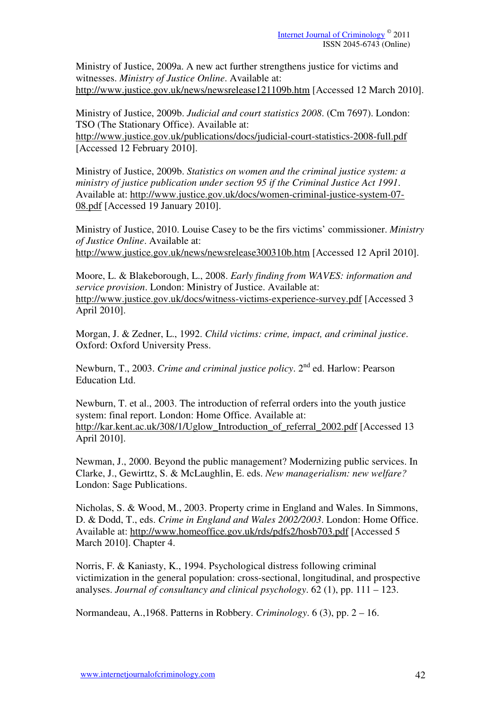Ministry of Justice, 2009a. A new act further strengthens justice for victims and witnesses. *Ministry of Justice Online*. Available at: http://www.justice.gov.uk/news/newsrelease121109b.htm [Accessed 12 March 2010].

Ministry of Justice, 2009b. *Judicial and court statistics 2008*. (Cm 7697). London: TSO (The Stationary Office). Available at: http://www.justice.gov.uk/publications/docs/judicial-court-statistics-2008-full.pdf [Accessed 12 February 2010].

Ministry of Justice, 2009b. *Statistics on women and the criminal justice system: a ministry of justice publication under section 95 if the Criminal Justice Act 1991*. Available at: http://www.justice.gov.uk/docs/women-criminal-justice-system-07- 08.pdf [Accessed 19 January 2010].

Ministry of Justice, 2010. Louise Casey to be the firs victims' commissioner. *Ministry of Justice Online*. Available at: http://www.justice.gov.uk/news/newsrelease300310b.htm [Accessed 12 April 2010].

Moore, L. & Blakeborough, L., 2008. *Early finding from WAVES: information and service provision*. London: Ministry of Justice. Available at: http://www.justice.gov.uk/docs/witness-victims-experience-survey.pdf [Accessed 3 April 2010].

Morgan, J. & Zedner, L., 1992. *Child victims: crime, impact, and criminal justice*. Oxford: Oxford University Press.

Newburn, T., 2003. *Crime and criminal justice policy*. 2<sup>nd</sup> ed. Harlow: Pearson Education Ltd.

Newburn, T. et al., 2003. The introduction of referral orders into the youth justice system: final report. London: Home Office. Available at: http://kar.kent.ac.uk/308/1/Uglow\_Introduction\_of\_referral\_2002.pdf [Accessed 13 April 2010].

Newman, J., 2000. Beyond the public management? Modernizing public services. In Clarke, J., Gewirttz, S. & McLaughlin, E. eds. *New managerialism: new welfare?*  London: Sage Publications.

Nicholas, S. & Wood, M., 2003. Property crime in England and Wales. In Simmons, D. & Dodd, T., eds. *Crime in England and Wales 2002/2003*. London: Home Office. Available at: http://www.homeoffice.gov.uk/rds/pdfs2/hosb703.pdf [Accessed 5 March 2010]. Chapter 4.

Norris, F. & Kaniasty, K., 1994. Psychological distress following criminal victimization in the general population: cross-sectional, longitudinal, and prospective analyses. *Journal of consultancy and clinical psychology*. 62 (1), pp. 111 – 123.

Normandeau, A.,1968. Patterns in Robbery. *Criminology*. 6 (3), pp. 2 – 16.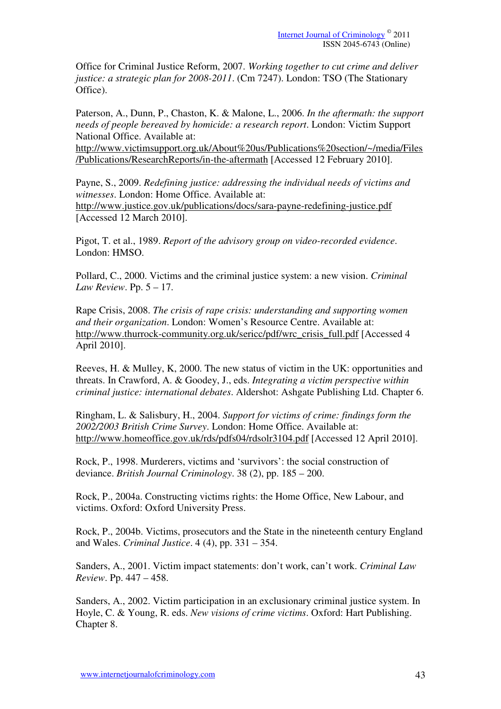Office for Criminal Justice Reform, 2007. *Working together to cut crime and deliver justice: a strategic plan for 2008-2011*. (Cm 7247). London: TSO (The Stationary Office).

Paterson, A., Dunn, P., Chaston, K. & Malone, L., 2006. *In the aftermath: the support needs of people bereaved by homicide: a research report*. London: Victim Support National Office. Available at:

http://www.victimsupport.org.uk/About%20us/Publications%20section/~/media/Files /Publications/ResearchReports/in-the-aftermath [Accessed 12 February 2010].

Payne, S., 2009. *Redefining justice: addressing the individual needs of victims and witnesses*. London: Home Office. Available at: http://www.justice.gov.uk/publications/docs/sara-payne-redefining-justice.pdf [Accessed 12 March 2010].

Pigot, T. et al., 1989. *Report of the advisory group on video-recorded evidence*. London: HMSO.

Pollard, C., 2000. Victims and the criminal justice system: a new vision. *Criminal Law Review*. Pp. 5 – 17.

Rape Crisis, 2008. *The crisis of rape crisis: understanding and supporting women and their organization*. London: Women's Resource Centre. Available at: http://www.thurrock-community.org.uk/sericc/pdf/wrc\_crisis\_full.pdf [Accessed 4 April 2010].

Reeves, H. & Mulley, K, 2000. The new status of victim in the UK: opportunities and threats. In Crawford, A. & Goodey, J., eds. *Integrating a victim perspective within criminal justice: international debates*. Aldershot: Ashgate Publishing Ltd. Chapter 6.

Ringham, L. & Salisbury, H., 2004. *Support for victims of crime: findings form the 2002/2003 British Crime Survey*. London: Home Office. Available at: http://www.homeoffice.gov.uk/rds/pdfs04/rdsolr3104.pdf [Accessed 12 April 2010].

Rock, P., 1998. Murderers, victims and 'survivors': the social construction of deviance. *British Journal Criminology*. 38 (2), pp. 185 – 200.

Rock, P., 2004a. Constructing victims rights: the Home Office, New Labour, and victims. Oxford: Oxford University Press.

Rock, P., 2004b. Victims, prosecutors and the State in the nineteenth century England and Wales. *Criminal Justice*. 4 (4), pp. 331 – 354.

Sanders, A., 2001. Victim impact statements: don't work, can't work. *Criminal Law Review*. Pp. 447 – 458.

Sanders, A., 2002. Victim participation in an exclusionary criminal justice system. In Hoyle, C. & Young, R. eds. *New visions of crime victims*. Oxford: Hart Publishing. Chapter 8.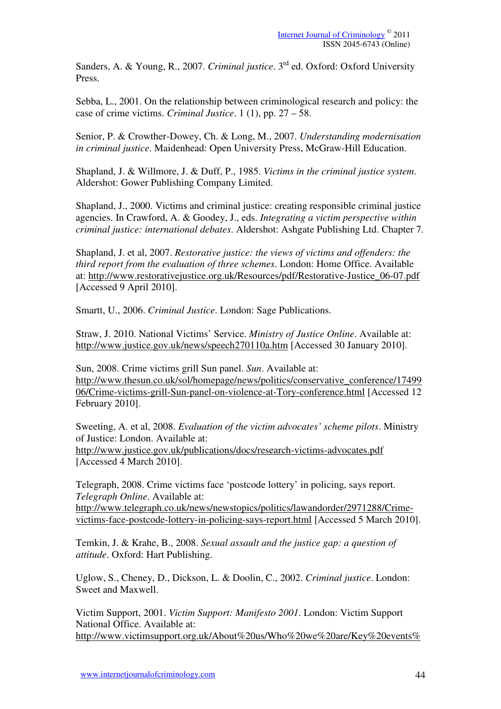Sanders, A. & Young, R., 2007. *Criminal justice*. 3<sup>rd</sup> ed. Oxford: Oxford University Press.

Sebba, L., 2001. On the relationship between criminological research and policy: the case of crime victims. *Criminal Justice*. 1 (1), pp. 27 – 58.

Senior, P. & Crowther-Dowey, Ch. & Long, M., 2007. *Understanding modernisation in criminal justice*. Maidenhead: Open University Press, McGraw-Hill Education.

Shapland, J. & Willmore, J. & Duff, P., 1985. *Victims in the criminal justice system*. Aldershot: Gower Publishing Company Limited.

Shapland, J., 2000. Victims and criminal justice: creating responsible criminal justice agencies. In Crawford, A. & Goodey, J., eds. *Integrating a victim perspective within criminal justice: international debates*. Aldershot: Ashgate Publishing Ltd. Chapter 7.

Shapland, J. et al, 2007. *Restorative justice: the views of victims and offenders: the third report from the evaluation of three schemes*. London: Home Office. Available at: http://www.restorativejustice.org.uk/Resources/pdf/Restorative-Justice\_06-07.pdf [Accessed 9 April 2010].

Smartt, U., 2006. *Criminal Justice*. London: Sage Publications.

Straw, J. 2010. National Victims' Service. *Ministry of Justice Online*. Available at: http://www.justice.gov.uk/news/speech270110a.htm [Accessed 30 January 2010].

Sun, 2008. Crime victims grill Sun panel. *Sun*. Available at: http://www.thesun.co.uk/sol/homepage/news/politics/conservative\_conference/17499 06/Crime-victims-grill-Sun-panel-on-violence-at-Tory-conference.html [Accessed 12 February 2010].

Sweeting, A. et al, 2008. *Evaluation of the victim advocates' scheme pilots*. Ministry of Justice: London. Available at: http://www.justice.gov.uk/publications/docs/research-victims-advocates.pdf [Accessed 4 March 2010].

Telegraph, 2008. Crime victims face 'postcode lottery' in policing, says report. *Telegraph Online*. Available at:

http://www.telegraph.co.uk/news/newstopics/politics/lawandorder/2971288/Crimevictims-face-postcode-lottery-in-policing-says-report.html [Accessed 5 March 2010].

Temkin, J. & Krahe, B., 2008. *Sexual assault and the justice gap: a question of attitude*. Oxford: Hart Publishing.

Uglow, S., Cheney, D., Dickson, L. & Doolin, C., 2002. *Criminal justice*. London: Sweet and Maxwell.

Victim Support, 2001. *Victim Support: Manifesto 2001*. London: Victim Support National Office. Available at: http://www.victimsupport.org.uk/About%20us/Who%20we%20are/Key%20events%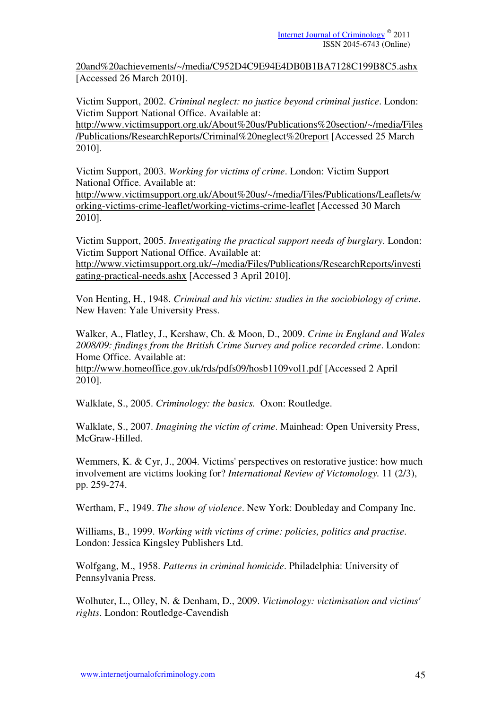20and%20achievements/~/media/C952D4C9E94E4DB0B1BA7128C199B8C5.ashx [Accessed 26 March 2010].

Victim Support, 2002. *Criminal neglect: no justice beyond criminal justice*. London: Victim Support National Office. Available at:

http://www.victimsupport.org.uk/About%20us/Publications%20section/~/media/Files /Publications/ResearchReports/Criminal%20neglect%20report [Accessed 25 March 2010].

Victim Support, 2003. *Working for victims of crime*. London: Victim Support National Office. Available at:

http://www.victimsupport.org.uk/About%20us/~/media/Files/Publications/Leaflets/w orking-victims-crime-leaflet/working-victims-crime-leaflet [Accessed 30 March 2010].

Victim Support, 2005. *Investigating the practical support needs of burglary*. London: Victim Support National Office. Available at:

http://www.victimsupport.org.uk/~/media/Files/Publications/ResearchReports/investi gating-practical-needs.ashx [Accessed 3 April 2010].

Von Henting, H., 1948. *Criminal and his victim: studies in the sociobiology of crime*. New Haven: Yale University Press.

Walker, A., Flatley, J., Kershaw, Ch. & Moon, D., 2009. *Crime in England and Wales 2008/09: findings from the British Crime Survey and police recorded crime*. London: Home Office. Available at: http://www.homeoffice.gov.uk/rds/pdfs09/hosb1109vol1.pdf [Accessed 2 April 2010].

Walklate, S., 2005. *Criminology: the basics.* Oxon: Routledge.

Walklate, S., 2007. *Imagining the victim of crime*. Mainhead: Open University Press, McGraw-Hilled.

Wemmers, K. & Cyr, J., 2004. Victims' perspectives on restorative justice: how much involvement are victims looking for? *International Review of Victomology.* 11 (2/3), pp. 259-274.

Wertham, F., 1949. *The show of violence*. New York: Doubleday and Company Inc.

Williams, B., 1999. *Working with victims of crime: policies, politics and practise*. London: Jessica Kingsley Publishers Ltd.

Wolfgang, M., 1958. *Patterns in criminal homicide*. Philadelphia: University of Pennsylvania Press.

Wolhuter, L., Olley, N. & Denham, D., 2009. *Victimology: victimisation and victims' rights*. London: Routledge-Cavendish